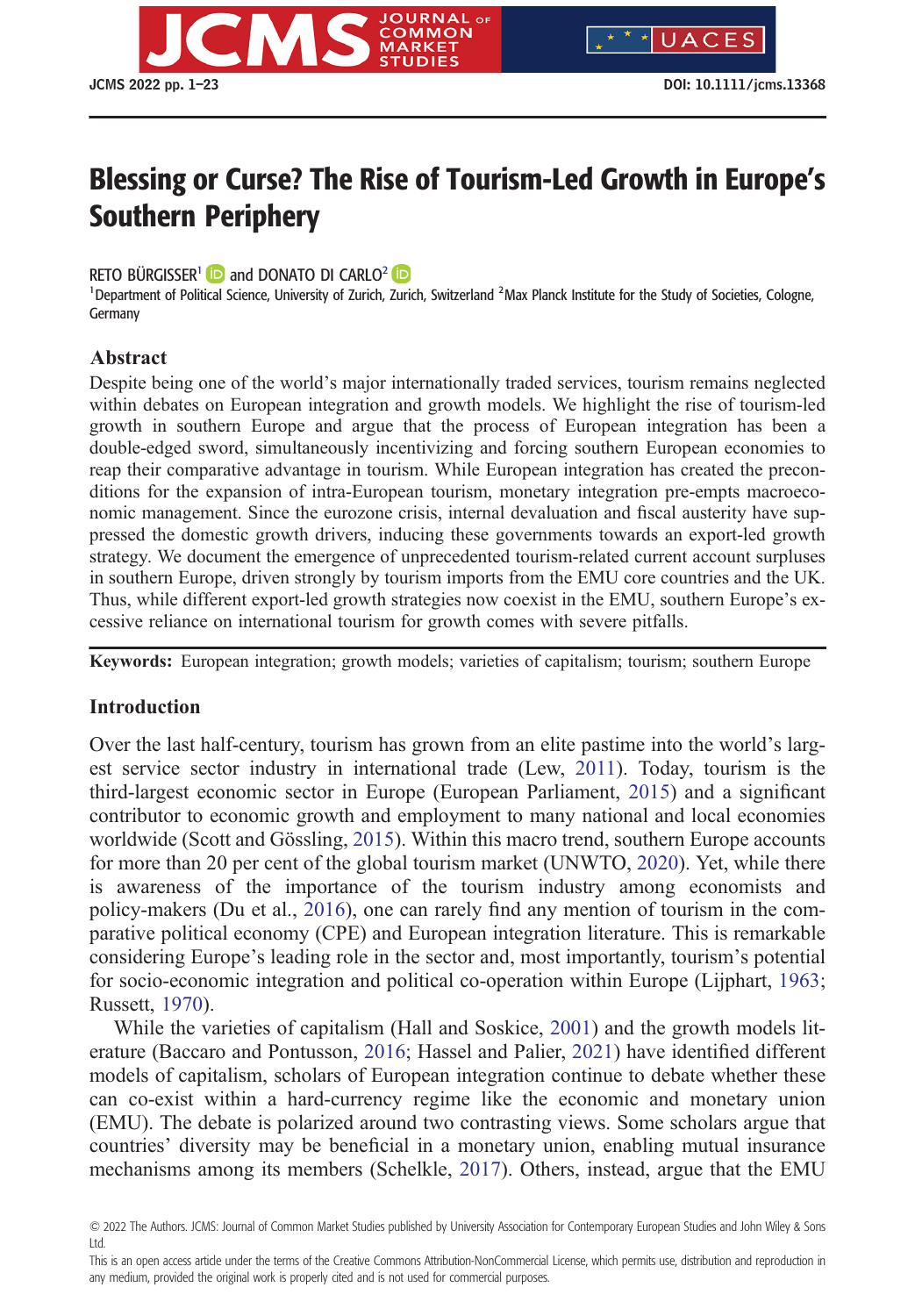

UACES

# Blessing or Curse? The Rise of Tourism-Led Growth in Europe's Southern Periphery

RETO BÜRGISSER<sup>1</sup> **b** and DONATO DI CARLO<sup>2</sup> **iD** 

<sup>1</sup> Department of Political Science, University of Zurich, Zurich, Switzerland <sup>2</sup> Max Planck Institute for the Study of Societies, Cologne, Germany

## **Abstract**

Despite being one of the world's major internationally traded services, tourism remains neglected within debates on European integration and growth models. We highlight the rise of tourism-led growth in southern Europe and argue that the process of European integration has been a double-edged sword, simultaneously incentivizing and forcing southern European economies to reap their comparative advantage in tourism. While European integration has created the preconditions for the expansion of intra-European tourism, monetary integration pre-empts macroeconomic management. Since the eurozone crisis, internal devaluation and fiscal austerity have suppressed the domestic growth drivers, inducing these governments towards an export-led growth strategy. We document the emergence of unprecedented tourism-related current account surpluses in southern Europe, driven strongly by tourism imports from the EMU core countries and the UK. Thus, while different export-led growth strategies now coexist in the EMU, southern Europe's excessive reliance on international tourism for growth comes with severe pitfalls.

**Keywords:** European integration; growth models; varieties of capitalism; tourism; southern Europe

### **Introduction**

Over the last half-century, tourism has grown from an elite pastime into the world's largest service sector industry in international trade (Lew, [2011](#page-20-0)). Today, tourism is the third-largest economic sector in Europe (European Parliament, [2015\)](#page-19-0) and a significant contributor to economic growth and employment to many national and local economies worldwide (Scott and Gössling, [2015\)](#page-21-0). Within this macro trend, southern Europe accounts for more than 20 per cent of the global tourism market (UNWTO, [2020](#page-22-0)). Yet, while there is awareness of the importance of the tourism industry among economists and policy-makers (Du et al., [2016\)](#page-18-0), one can rarely find any mention of tourism in the comparative political economy (CPE) and European integration literature. This is remarkable considering Europe's leading role in the sector and, most importantly, tourism's potential for socio-economic integration and political co-operation within Europe (Lijphart, [1963](#page-20-0); Russett, [1970](#page-21-0)).

While the varieties of capitalism (Hall and Soskice, [2001](#page-19-0)) and the growth models literature (Baccaro and Pontusson, [2016;](#page-17-0) Hassel and Palier, [2021](#page-19-0)) have identified different models of capitalism, scholars of European integration continue to debate whether these can co-exist within a hard-currency regime like the economic and monetary union (EMU). The debate is polarized around two contrasting views. Some scholars argue that countries' diversity may be beneficial in a monetary union, enabling mutual insurance mechanisms among its members (Schelkle, [2017](#page-21-0)). Others, instead, argue that the EMU

<sup>© 2022</sup> The Authors. JCMS: Journal of Common Market Studies published by University Association for Contemporary European Studies and John Wiley & Sons Ltd.

This is an open access article under the terms of the [Creative Commons Attribution-NonCommercial](http://creativecommons.org/licenses/by-nc/4.0/) License, which permits use, distribution and reproduction in any medium, provided the original work is properly cited and is not used for commercial purposes.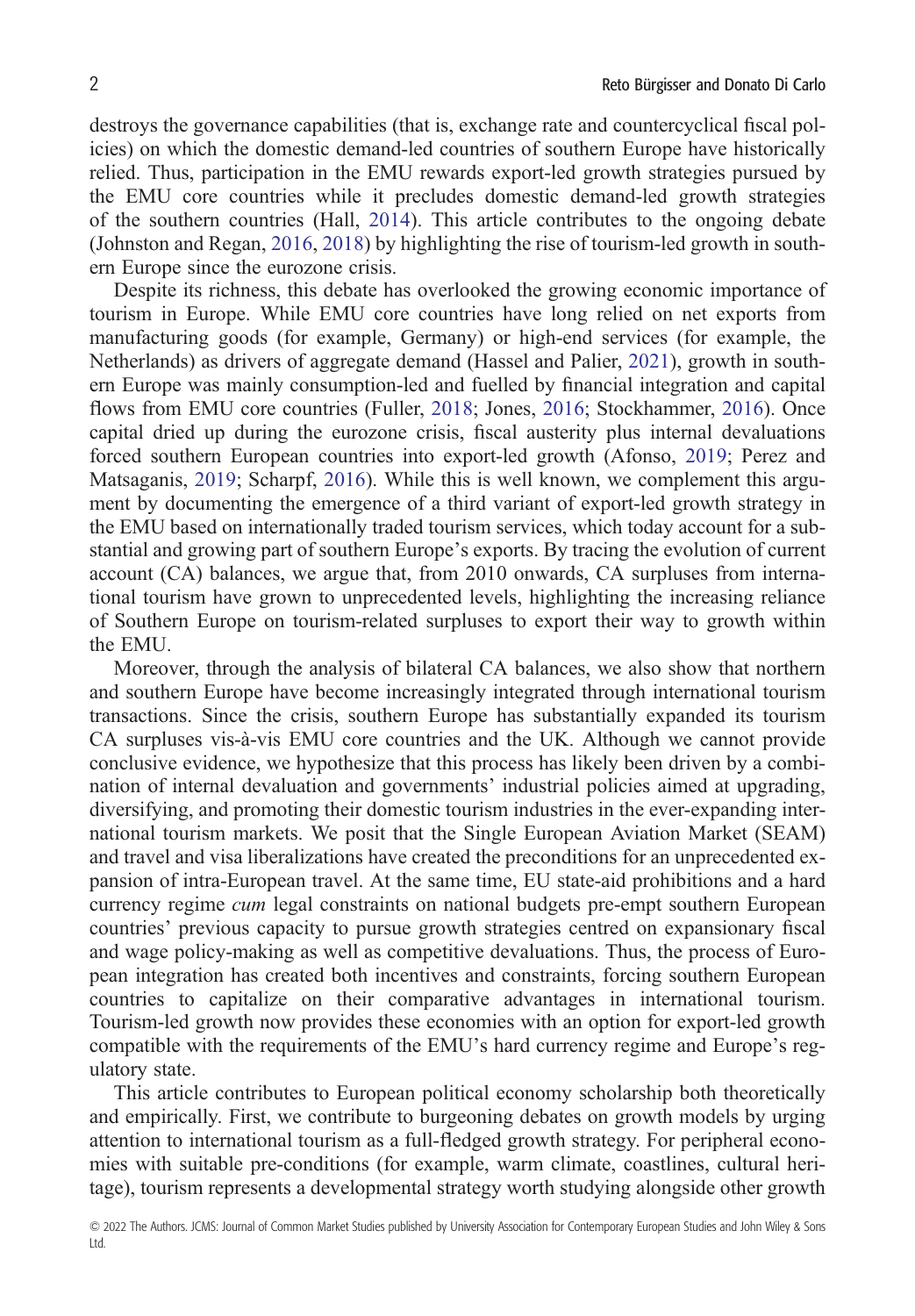destroys the governance capabilities (that is, exchange rate and countercyclical fiscal policies) on which the domestic demand-led countries of southern Europe have historically relied. Thus, participation in the EMU rewards export-led growth strategies pursued by the EMU core countries while it precludes domestic demand-led growth strategies of the southern countries (Hall, [2014](#page-19-0)). This article contributes to the ongoing debate (Johnston and Regan, [2016,](#page-20-0) [2018\)](#page-20-0) by highlighting the rise of tourism-led growth in southern Europe since the eurozone crisis.

Despite its richness, this debate has overlooked the growing economic importance of tourism in Europe. While EMU core countries have long relied on net exports from manufacturing goods (for example, Germany) or high-end services (for example, the Netherlands) as drivers of aggregate demand (Hassel and Palier, [2021\)](#page-19-0), growth in southern Europe was mainly consumption-led and fuelled by financial integration and capital flows from EMU core countries (Fuller, [2018](#page-19-0); Jones, [2016](#page-21-0); Stockhammer, 2016). Once capital dried up during the eurozone crisis, fiscal austerity plus internal devaluations forced southern European countries into export-led growth (Afonso, [2019](#page-17-0); Perez and Matsaganis, [2019](#page-21-0); Scharpf, [2016\)](#page-21-0). While this is well known, we complement this argument by documenting the emergence of a third variant of export-led growth strategy in the EMU based on internationally traded tourism services, which today account for a substantial and growing part of southern Europe's exports. By tracing the evolution of current account (CA) balances, we argue that, from 2010 onwards, CA surpluses from international tourism have grown to unprecedented levels, highlighting the increasing reliance of Southern Europe on tourism-related surpluses to export their way to growth within the EMU.

Moreover, through the analysis of bilateral CA balances, we also show that northern and southern Europe have become increasingly integrated through international tourism transactions. Since the crisis, southern Europe has substantially expanded its tourism CA surpluses vis-à-vis EMU core countries and the UK. Although we cannot provide conclusive evidence, we hypothesize that this process has likely been driven by a combination of internal devaluation and governments' industrial policies aimed at upgrading, diversifying, and promoting their domestic tourism industries in the ever-expanding international tourism markets. We posit that the Single European Aviation Market (SEAM) and travel and visa liberalizations have created the preconditions for an unprecedented expansion of intra-European travel. At the same time, EU state-aid prohibitions and a hard currency regime *cum* legal constraints on national budgets pre-empt southern European countries' previous capacity to pursue growth strategies centred on expansionary fiscal and wage policy-making as well as competitive devaluations. Thus, the process of European integration has created both incentives and constraints, forcing southern European countries to capitalize on their comparative advantages in international tourism. Tourism-led growth now provides these economies with an option for export-led growth compatible with the requirements of the EMU's hard currency regime and Europe's regulatory state.

This article contributes to European political economy scholarship both theoretically and empirically. First, we contribute to burgeoning debates on growth models by urging attention to international tourism as a full-fledged growth strategy. For peripheral economies with suitable pre-conditions (for example, warm climate, coastlines, cultural heritage), tourism represents a developmental strategy worth studying alongside other growth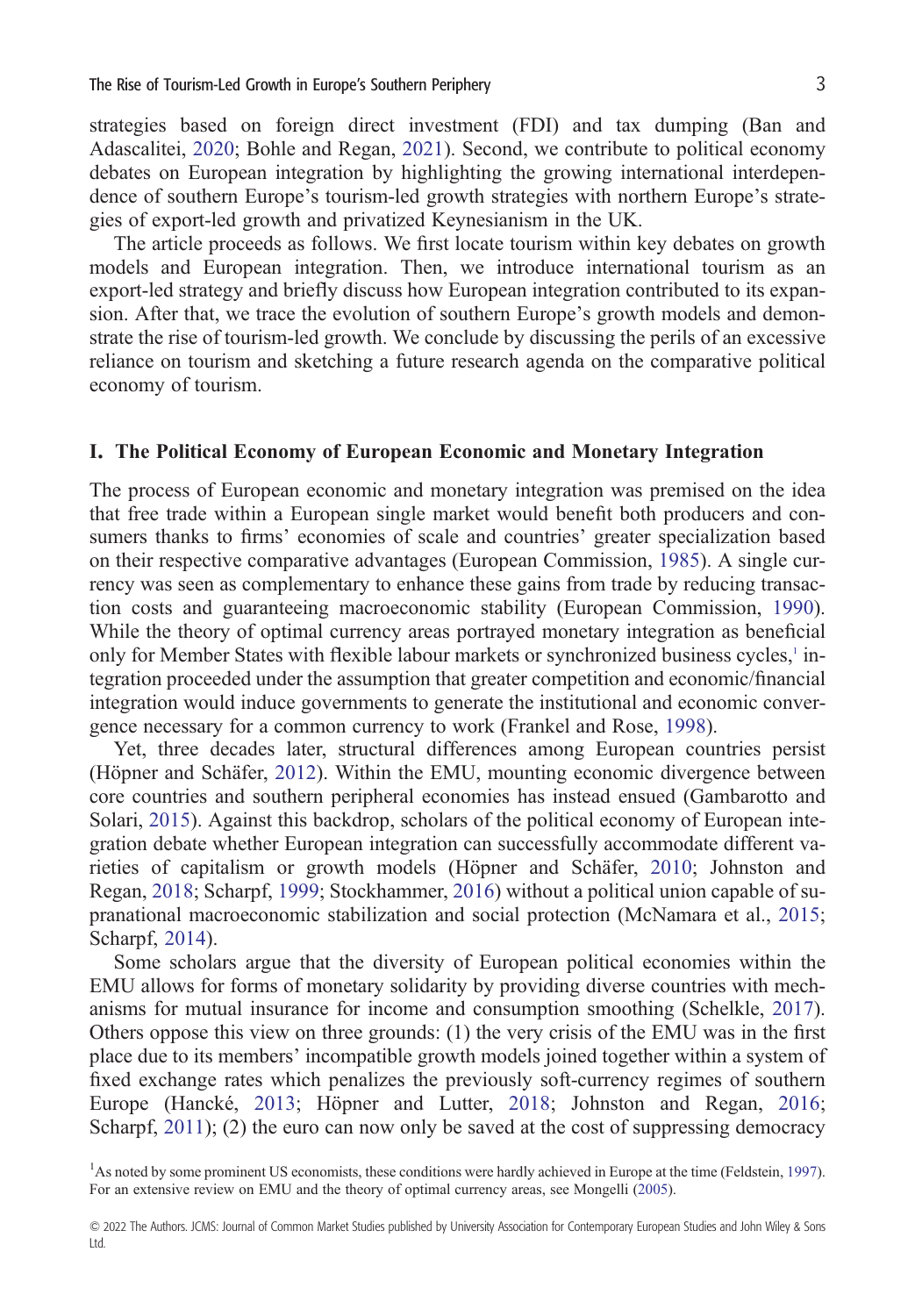strategies based on foreign direct investment (FDI) and tax dumping (Ban and Adascalitei, [2020](#page-18-0); Bohle and Regan, [2021](#page-18-0)). Second, we contribute to political economy debates on European integration by highlighting the growing international interdependence of southern Europe's tourism-led growth strategies with northern Europe's strategies of export-led growth and privatized Keynesianism in the UK.

The article proceeds as follows. We first locate tourism within key debates on growth models and European integration. Then, we introduce international tourism as an export-led strategy and briefly discuss how European integration contributed to its expansion. After that, we trace the evolution of southern Europe's growth models and demonstrate the rise of tourism-led growth. We conclude by discussing the perils of an excessive reliance on tourism and sketching a future research agenda on the comparative political economy of tourism.

#### **I. The Political Economy of European Economic and Monetary Integration**

The process of European economic and monetary integration was premised on the idea that free trade within a European single market would benefit both producers and consumers thanks to firms' economies of scale and countries' greater specialization based on their respective comparative advantages (European Commission, [1985\)](#page-19-0). A single currency was seen as complementary to enhance these gains from trade by reducing transaction costs and guaranteeing macroeconomic stability (European Commission, [1990\)](#page-19-0). While the theory of optimal currency areas portrayed monetary integration as beneficial only for Member States with flexible labour markets or synchronized business cycles,<sup>1</sup> integration proceeded under the assumption that greater competition and economic/financial integration would induce governments to generate the institutional and economic convergence necessary for a common currency to work (Frankel and Rose, [1998\)](#page-19-0).

Yet, three decades later, structural differences among European countries persist (Höpner and Schäfer, [2012\)](#page-20-0). Within the EMU, mounting economic divergence between core countries and southern peripheral economies has instead ensued (Gambarotto and Solari, [2015\)](#page-19-0). Against this backdrop, scholars of the political economy of European integration debate whether European integration can successfully accommodate different varieties of capitalism or growth models (Höpner and Schäfer, [2010;](#page-20-0) Johnston and Regan, [2018;](#page-20-0) Scharpf, [1999](#page-21-0); Stockhammer, [2016\)](#page-21-0) without a political union capable of supranational macroeconomic stabilization and social protection (McNamara et al., [2015](#page-20-0); Scharpf, [2014](#page-21-0)).

Some scholars argue that the diversity of European political economies within the EMU allows for forms of monetary solidarity by providing diverse countries with mechanisms for mutual insurance for income and consumption smoothing (Schelkle, [2017\)](#page-21-0). Others oppose this view on three grounds: (1) the very crisis of the EMU was in the first place due to its members' incompatible growth models joined together within a system of fixed exchange rates which penalizes the previously soft-currency regimes of southern Europe (Hancké, [2013;](#page-19-0) Höpner and Lutter, [2018](#page-20-0); Johnston and Regan, [2016](#page-20-0); Scharpf, [2011](#page-21-0)); (2) the euro can now only be saved at the cost of suppressing democracy

<sup>1</sup>As noted by some prominent US economists, these conditions were hardly achieved in Europe at the time (Feldstein, [1997\)](#page-19-0). For an extensive review on EMU and the theory of optimal currency areas, see Mongelli ([2005\)](#page-20-0).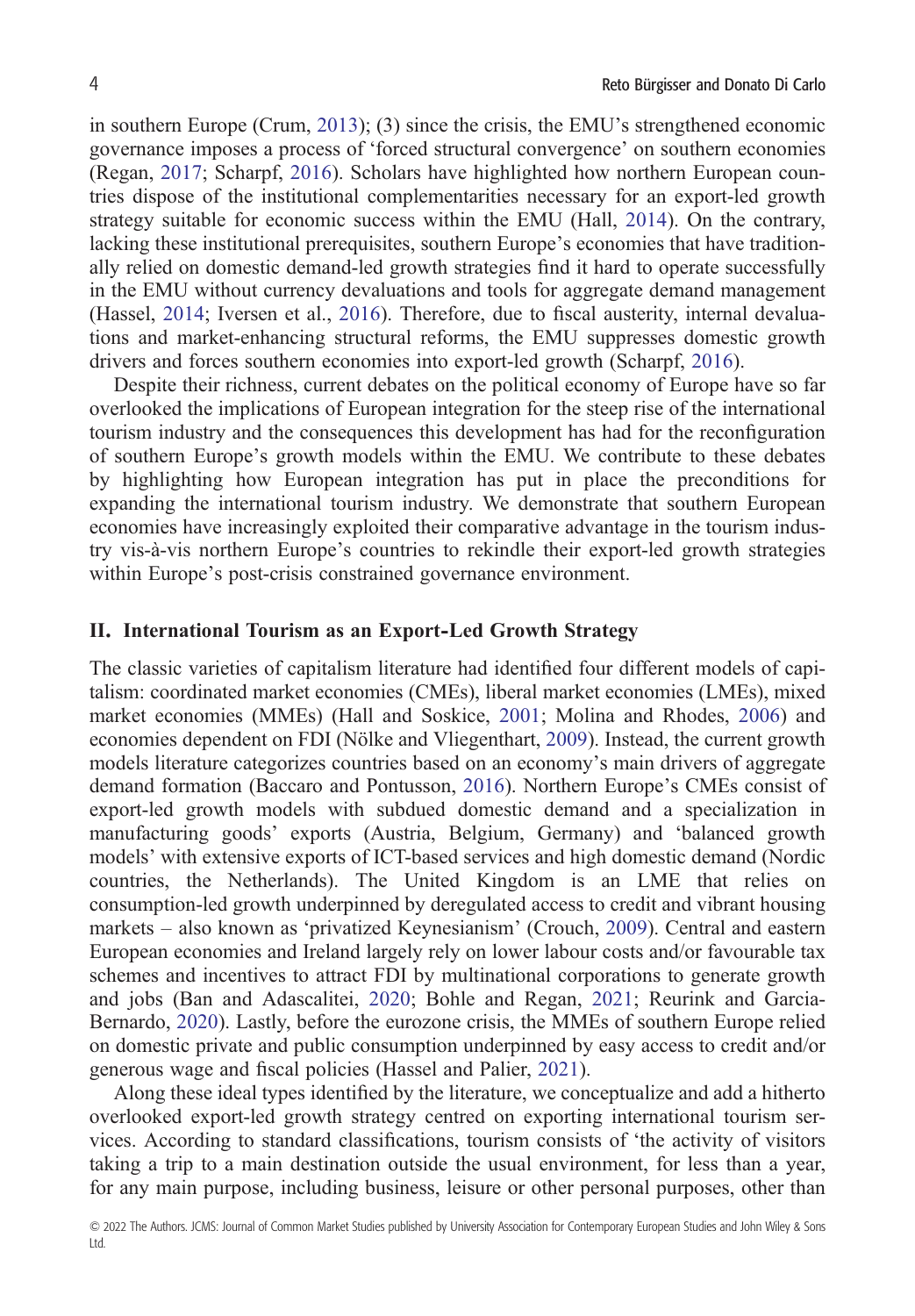in southern Europe (Crum, [2013\)](#page-18-0); (3) since the crisis, the EMU's strengthened economic governance imposes a process of 'forced structural convergence' on southern economies (Regan, [2017](#page-21-0); Scharpf, [2016\)](#page-21-0). Scholars have highlighted how northern European countries dispose of the institutional complementarities necessary for an export-led growth strategy suitable for economic success within the EMU (Hall, [2014](#page-19-0)). On the contrary, lacking these institutional prerequisites, southern Europe's economies that have traditionally relied on domestic demand-led growth strategies find it hard to operate successfully in the EMU without currency devaluations and tools for aggregate demand management (Hassel, [2014](#page-19-0); Iversen et al., [2016\)](#page-20-0). Therefore, due to fiscal austerity, internal devaluations and market-enhancing structural reforms, the EMU suppresses domestic growth drivers and forces southern economies into export-led growth (Scharpf, [2016](#page-21-0)).

Despite their richness, current debates on the political economy of Europe have so far overlooked the implications of European integration for the steep rise of the international tourism industry and the consequences this development has had for the reconfiguration of southern Europe's growth models within the EMU. We contribute to these debates by highlighting how European integration has put in place the preconditions for expanding the international tourism industry. We demonstrate that southern European economies have increasingly exploited their comparative advantage in the tourism industry vis-à-vis northern Europe's countries to rekindle their export-led growth strategies within Europe's post-crisis constrained governance environment.

#### **II. International Tourism as an Export-Led Growth Strategy**

The classic varieties of capitalism literature had identified four different models of capitalism: coordinated market economies (CMEs), liberal market economies (LMEs), mixed market economies (MMEs) (Hall and Soskice, [2001](#page-19-0); Molina and Rhodes, [2006](#page-20-0)) and economies dependent on FDI (Nölke and Vliegenthart, [2009](#page-21-0)). Instead, the current growth models literature categorizes countries based on an economy's main drivers of aggregate demand formation (Baccaro and Pontusson, [2016](#page-17-0)). Northern Europe's CMEs consist of export-led growth models with subdued domestic demand and a specialization in manufacturing goods' exports (Austria, Belgium, Germany) and 'balanced growth models' with extensive exports of ICT-based services and high domestic demand (Nordic countries, the Netherlands). The United Kingdom is an LME that relies on consumption-led growth underpinned by deregulated access to credit and vibrant housing markets – also known as 'privatized Keynesianism' (Crouch, [2009\)](#page-18-0). Central and eastern European economies and Ireland largely rely on lower labour costs and/or favourable tax schemes and incentives to attract FDI by multinational corporations to generate growth and jobs (Ban and Adascalitei, [2020](#page-18-0); Bohle and Regan, [2021;](#page-18-0) Reurink and Garcia-Bernardo, [2020\)](#page-21-0). Lastly, before the eurozone crisis, the MMEs of southern Europe relied on domestic private and public consumption underpinned by easy access to credit and/or generous wage and fiscal policies (Hassel and Palier, [2021\)](#page-19-0).

Along these ideal types identified by the literature, we conceptualize and add a hitherto overlooked export-led growth strategy centred on exporting international tourism services. According to standard classifications, tourism consists of 'the activity of visitors taking a trip to a main destination outside the usual environment, for less than a year, for any main purpose, including business, leisure or other personal purposes, other than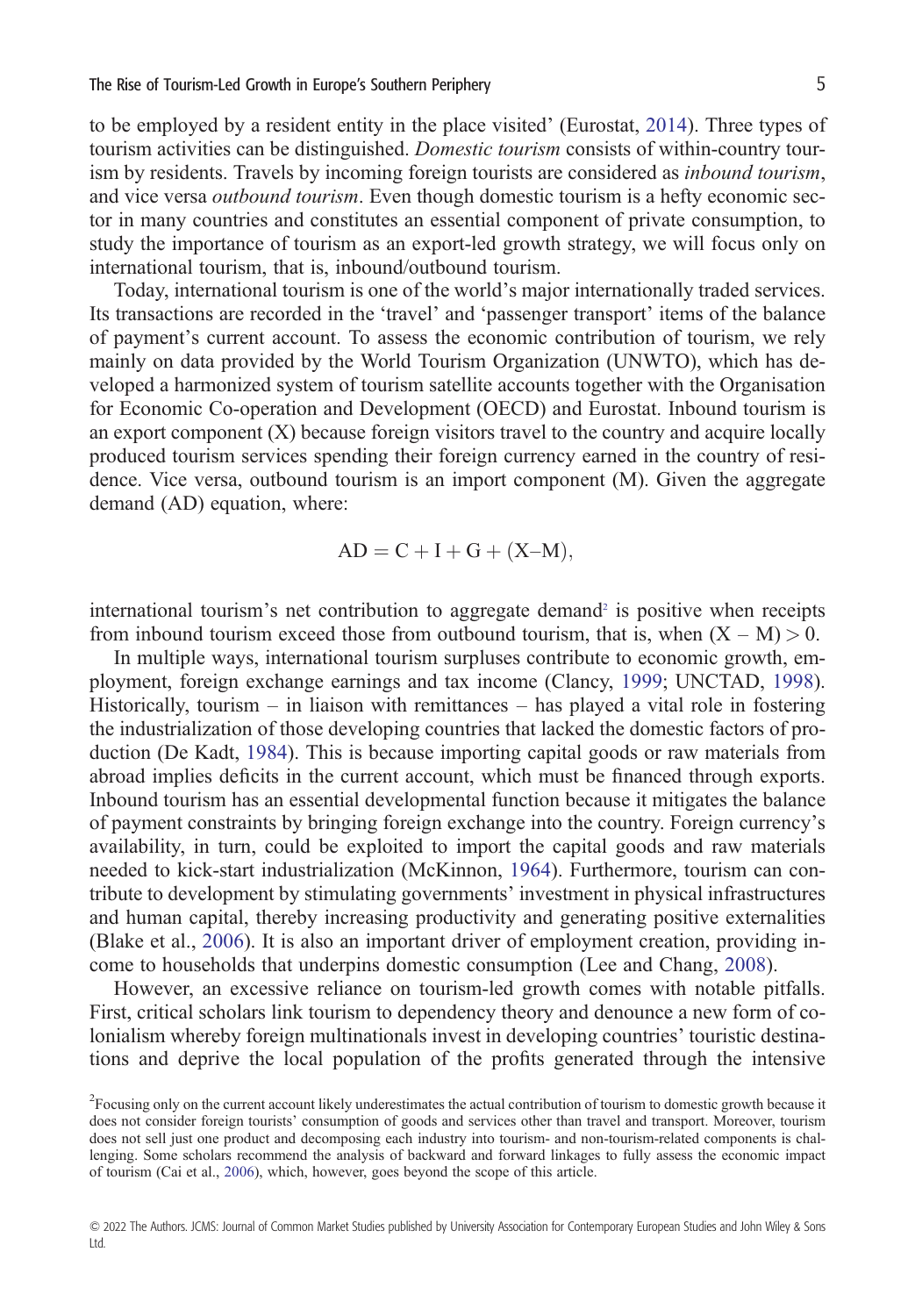to be employed by a resident entity in the place visited' (Eurostat, [2014](#page-19-0)). Three types of tourism activities can be distinguished. *Domestic tourism* consists of within-country tourism by residents. Travels by incoming foreign tourists are considered as *inbound tourism*, and vice versa *outbound tourism*. Even though domestic tourism is a hefty economic sector in many countries and constitutes an essential component of private consumption, to study the importance of tourism as an export-led growth strategy, we will focus only on international tourism, that is, inbound/outbound tourism.

Today, international tourism is one of the world's major internationally traded services. Its transactions are recorded in the 'travel' and 'passenger transport' items of the balance of payment's current account. To assess the economic contribution of tourism, we rely mainly on data provided by the World Tourism Organization (UNWTO), which has developed a harmonized system of tourism satellite accounts together with the Organisation for Economic Co-operation and Development (OECD) and Eurostat. Inbound tourism is an export component (X) because foreign visitors travel to the country and acquire locally produced tourism services spending their foreign currency earned in the country of residence. Vice versa, outbound tourism is an import component (M). Given the aggregate demand (AD) equation, where:

$$
AD = C + I + G + (X-M),
$$

international tourism's net contribution to aggregate demand<sup>2</sup> is positive when receipts from inbound tourism exceed those from outbound tourism, that is, when  $(X - M) > 0$ .

In multiple ways, international tourism surpluses contribute to economic growth, employment, foreign exchange earnings and tax income (Clancy, [1999;](#page-18-0) UNCTAD, [1998\)](#page-21-0). Historically, tourism – in liaison with remittances – has played a vital role in fostering the industrialization of those developing countries that lacked the domestic factors of production (De Kadt, [1984](#page-18-0)). This is because importing capital goods or raw materials from abroad implies deficits in the current account, which must be financed through exports. Inbound tourism has an essential developmental function because it mitigates the balance of payment constraints by bringing foreign exchange into the country. Foreign currency's availability, in turn, could be exploited to import the capital goods and raw materials needed to kick-start industrialization (McKinnon, [1964\)](#page-20-0). Furthermore, tourism can contribute to development by stimulating governments' investment in physical infrastructures and human capital, thereby increasing productivity and generating positive externalities (Blake et al., [2006](#page-18-0)). It is also an important driver of employment creation, providing income to households that underpins domestic consumption (Lee and Chang, [2008\)](#page-20-0).

However, an excessive reliance on tourism-led growth comes with notable pitfalls. First, critical scholars link tourism to dependency theory and denounce a new form of colonialism whereby foreign multinationals invest in developing countries' touristic destinations and deprive the local population of the profits generated through the intensive

<sup>&</sup>lt;sup>2</sup> Focusing only on the current account likely underestimates the actual contribution of tourism to domestic growth because it does not consider foreign tourists' consumption of goods and services other than travel and transport. Moreover, tourism does not sell just one product and decomposing each industry into tourism- and non-tourism-related components is challenging. Some scholars recommend the analysis of backward and forward linkages to fully assess the economic impact of tourism (Cai et al., [2006\)](#page-18-0), which, however, goes beyond the scope of this article.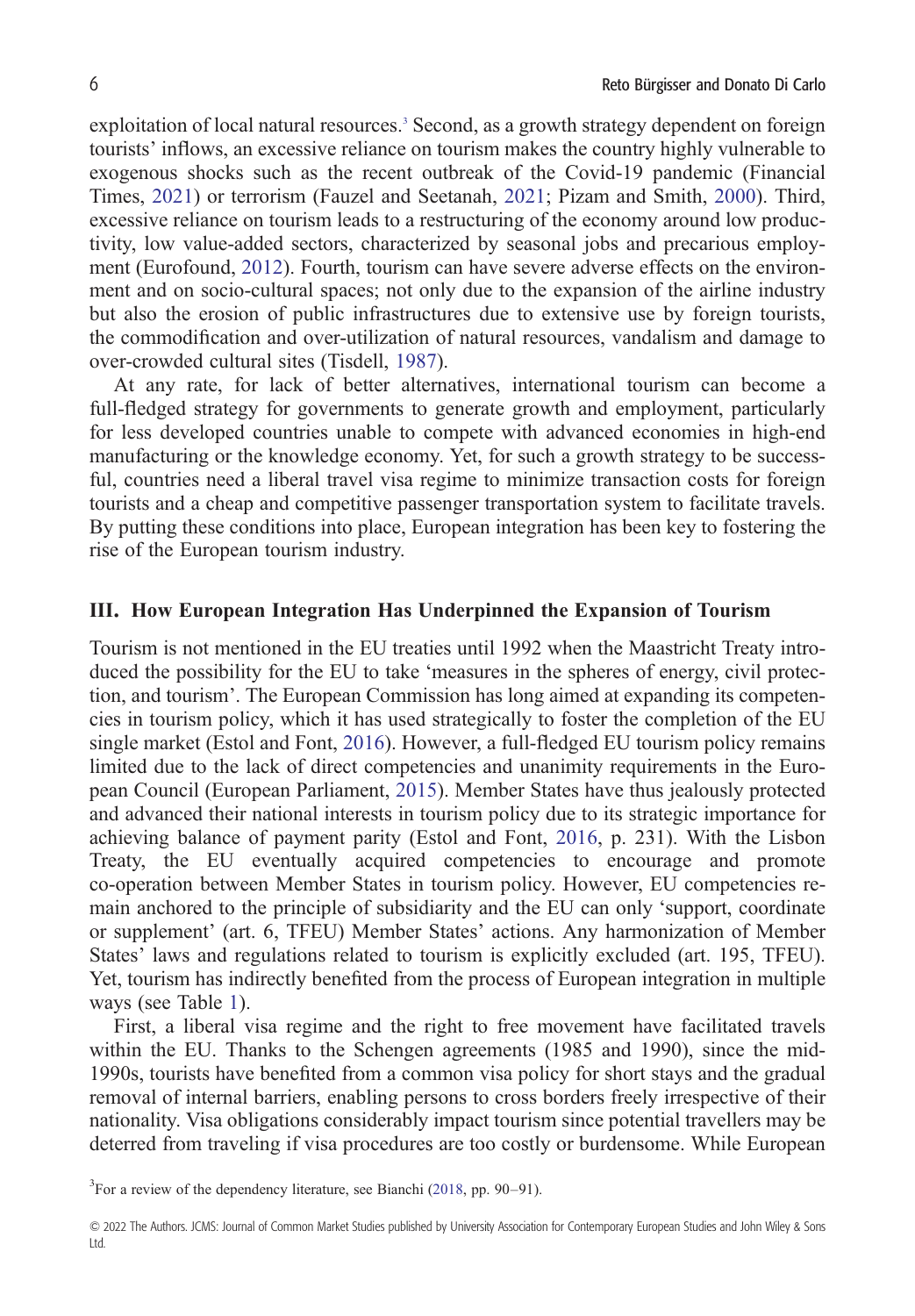exploitation of local natural resources.<sup>3</sup> Second, as a growth strategy dependent on foreign tourists' inflows, an excessive reliance on tourism makes the country highly vulnerable to exogenous shocks such as the recent outbreak of the Covid-19 pandemic (Financial Times, [2021\)](#page-19-0) or terrorism (Fauzel and Seetanah, [2021](#page-19-0); Pizam and Smith, [2000](#page-21-0)). Third, excessive reliance on tourism leads to a restructuring of the economy around low productivity, low value-added sectors, characterized by seasonal jobs and precarious employment (Eurofound, [2012\)](#page-19-0). Fourth, tourism can have severe adverse effects on the environment and on socio-cultural spaces; not only due to the expansion of the airline industry but also the erosion of public infrastructures due to extensive use by foreign tourists, the commodification and over-utilization of natural resources, vandalism and damage to over-crowded cultural sites (Tisdell, [1987](#page-21-0)).

At any rate, for lack of better alternatives, international tourism can become a full-fledged strategy for governments to generate growth and employment, particularly for less developed countries unable to compete with advanced economies in high-end manufacturing or the knowledge economy. Yet, for such a growth strategy to be successful, countries need a liberal travel visa regime to minimize transaction costs for foreign tourists and a cheap and competitive passenger transportation system to facilitate travels. By putting these conditions into place, European integration has been key to fostering the rise of the European tourism industry.

#### **III. How European Integration Has Underpinned the Expansion of Tourism**

Tourism is not mentioned in the EU treaties until 1992 when the Maastricht Treaty introduced the possibility for the EU to take 'measures in the spheres of energy, civil protection, and tourism'. The European Commission has long aimed at expanding its competencies in tourism policy, which it has used strategically to foster the completion of the EU single market (Estol and Font, [2016\)](#page-19-0). However, a full-fledged EU tourism policy remains limited due to the lack of direct competencies and unanimity requirements in the European Council (European Parliament, [2015\)](#page-19-0). Member States have thus jealously protected and advanced their national interests in tourism policy due to its strategic importance for achieving balance of payment parity (Estol and Font, [2016](#page-19-0), p. 231). With the Lisbon Treaty, the EU eventually acquired competencies to encourage and promote co-operation between Member States in tourism policy. However, EU competencies remain anchored to the principle of subsidiarity and the EU can only 'support, coordinate or supplement' (art. 6, TFEU) Member States' actions. Any harmonization of Member States' laws and regulations related to tourism is explicitly excluded (art. 195, TFEU). Yet, tourism has indirectly benefited from the process of European integration in multiple ways (see Table [1\)](#page-6-0).

First, a liberal visa regime and the right to free movement have facilitated travels within the EU. Thanks to the Schengen agreements (1985 and 1990), since the mid-1990s, tourists have benefited from a common visa policy for short stays and the gradual removal of internal barriers, enabling persons to cross borders freely irrespective of their nationality. Visa obligations considerably impact tourism since potential travellers may be deterred from traveling if visa procedures are too costly or burdensome. While European

<sup>3</sup>For a review of the dependency literature, see Bianchi [\(2018](#page-18-0), pp. 90–91).

<sup>© 2022</sup> The Authors. JCMS: Journal of Common Market Studies published by University Association for Contemporary European Studies and John Wiley & Sons Ltd.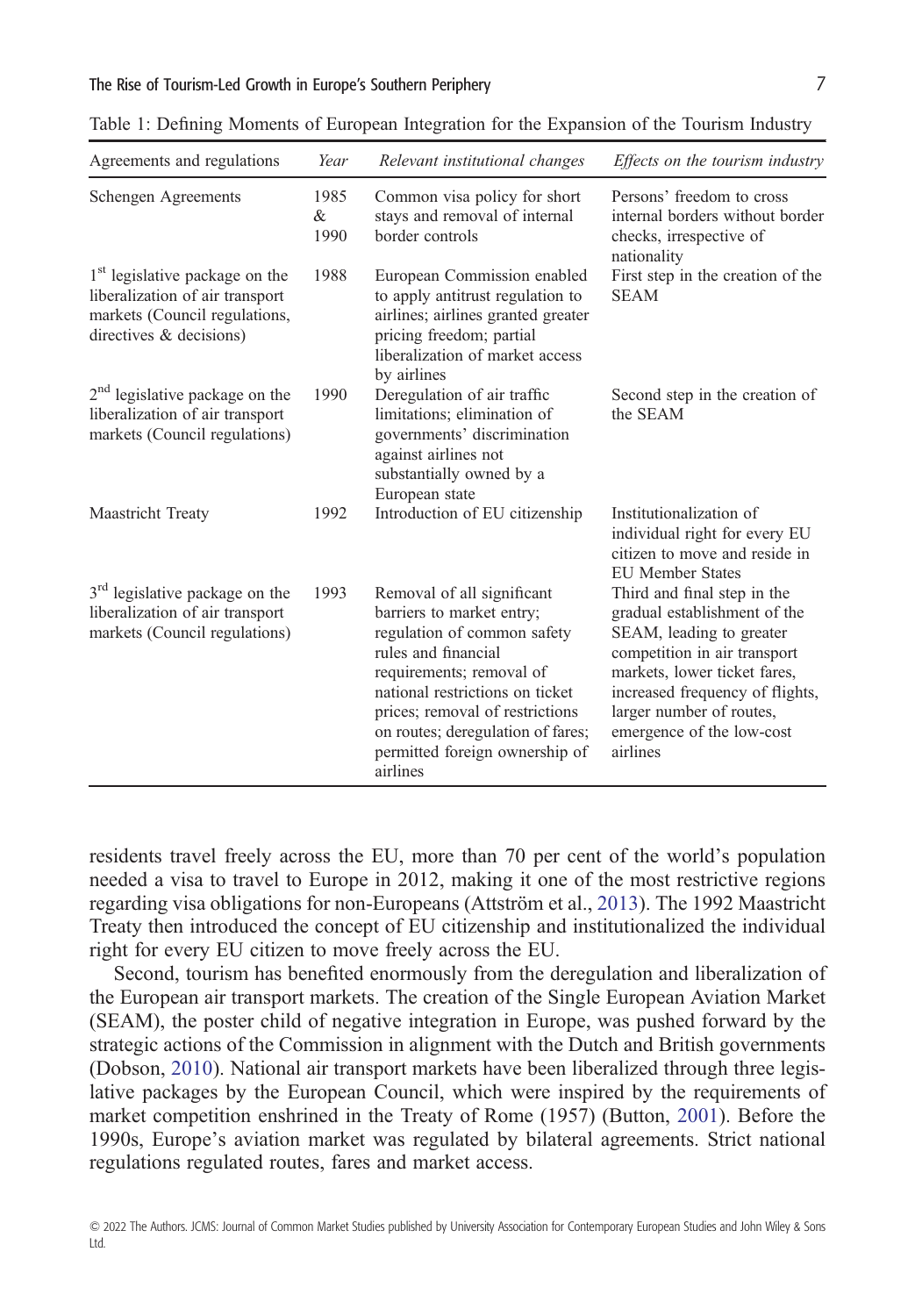| Agreements and regulations                                                                                                                   | Year              | Relevant institutional changes                                                                                                                                                                                                                                                                     | Effects on the tourism industry                                                                                                                                                                                                                                 |
|----------------------------------------------------------------------------------------------------------------------------------------------|-------------------|----------------------------------------------------------------------------------------------------------------------------------------------------------------------------------------------------------------------------------------------------------------------------------------------------|-----------------------------------------------------------------------------------------------------------------------------------------------------------------------------------------------------------------------------------------------------------------|
| Schengen Agreements                                                                                                                          | 1985<br>&<br>1990 | Common visa policy for short<br>stays and removal of internal<br>border controls                                                                                                                                                                                                                   | Persons' freedom to cross<br>internal borders without border<br>checks, irrespective of<br>nationality                                                                                                                                                          |
| 1 <sup>st</sup> legislative package on the<br>liberalization of air transport<br>markets (Council regulations,<br>directives $\&$ decisions) | 1988              | European Commission enabled<br>to apply antitrust regulation to<br>airlines; airlines granted greater<br>pricing freedom; partial<br>liberalization of market access<br>by airlines                                                                                                                | First step in the creation of the<br><b>SEAM</b>                                                                                                                                                                                                                |
| $2nd$ legislative package on the<br>liberalization of air transport<br>markets (Council regulations)                                         | 1990              | Deregulation of air traffic<br>limitations; elimination of<br>governments' discrimination<br>against airlines not<br>substantially owned by a<br>European state                                                                                                                                    | Second step in the creation of<br>the SEAM                                                                                                                                                                                                                      |
| Maastricht Treaty                                                                                                                            | 1992              | Introduction of EU citizenship                                                                                                                                                                                                                                                                     | Institutionalization of<br>individual right for every EU<br>citizen to move and reside in<br><b>EU Member States</b>                                                                                                                                            |
| 3 <sup>rd</sup> legislative package on the<br>liberalization of air transport<br>markets (Council regulations)                               | 1993              | Removal of all significant<br>barriers to market entry;<br>regulation of common safety<br>rules and financial<br>requirements; removal of<br>national restrictions on ticket<br>prices; removal of restrictions<br>on routes; deregulation of fares;<br>permitted foreign ownership of<br>airlines | Third and final step in the<br>gradual establishment of the<br>SEAM, leading to greater<br>competition in air transport<br>markets, lower ticket fares,<br>increased frequency of flights,<br>larger number of routes,<br>emergence of the low-cost<br>airlines |

<span id="page-6-0"></span>Table 1: Defining Moments of European Integration for the Expansion of the Tourism Industry

residents travel freely across the EU, more than 70 per cent of the world's population needed a visa to travel to Europe in 2012, making it one of the most restrictive regions regarding visa obligations for non-Europeans (Attström et al., [2013](#page-17-0)). The 1992 Maastricht Treaty then introduced the concept of EU citizenship and institutionalized the individual right for every EU citizen to move freely across the EU.

Second, tourism has benefited enormously from the deregulation and liberalization of the European air transport markets. The creation of the Single European Aviation Market (SEAM), the poster child of negative integration in Europe, was pushed forward by the strategic actions of the Commission in alignment with the Dutch and British governments (Dobson, [2010\)](#page-18-0). National air transport markets have been liberalized through three legislative packages by the European Council, which were inspired by the requirements of market competition enshrined in the Treaty of Rome (1957) (Button, [2001\)](#page-18-0). Before the 1990s, Europe's aviation market was regulated by bilateral agreements. Strict national regulations regulated routes, fares and market access.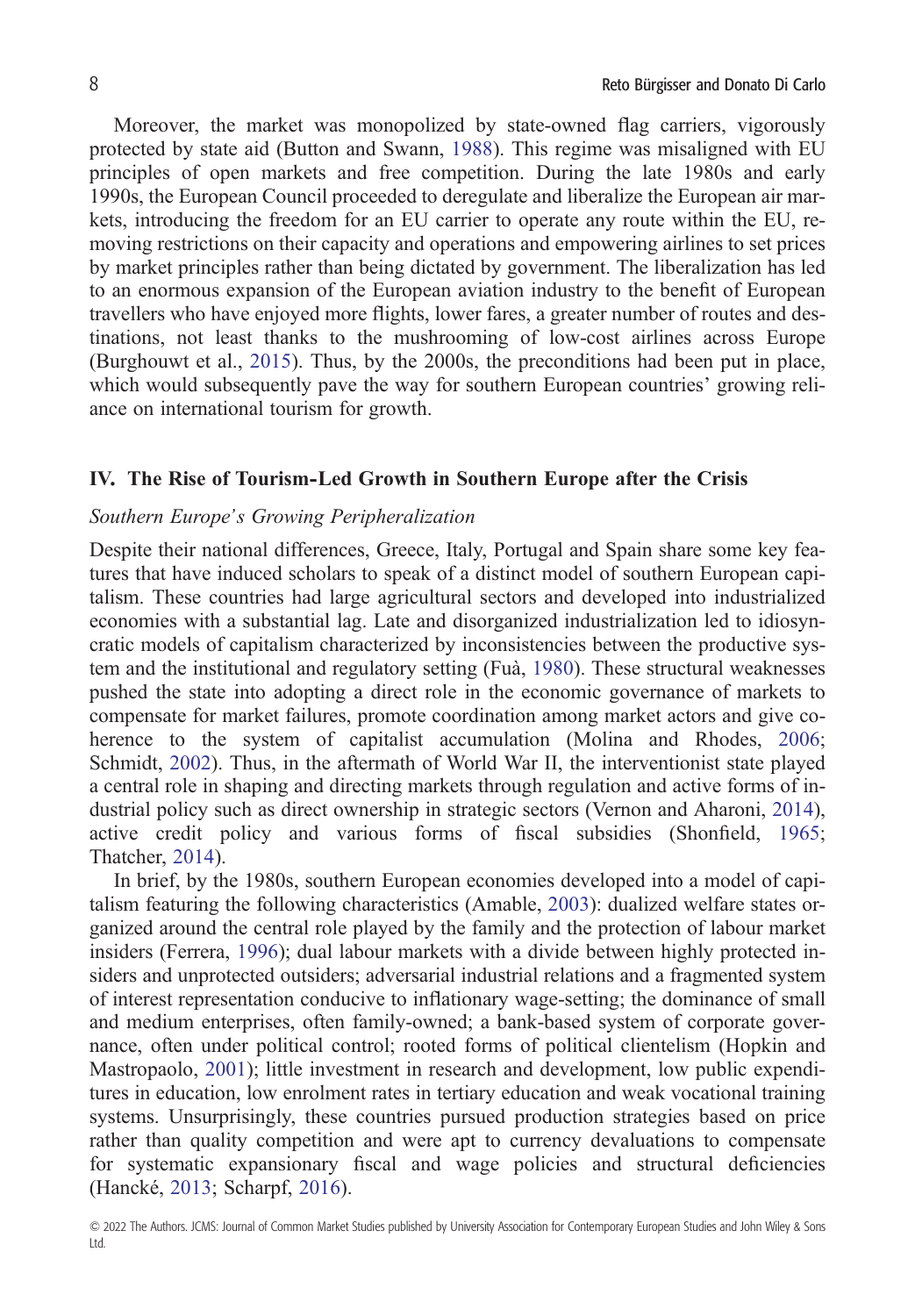Moreover, the market was monopolized by state-owned flag carriers, vigorously protected by state aid (Button and Swann, [1988](#page-18-0)). This regime was misaligned with EU principles of open markets and free competition. During the late 1980s and early 1990s, the European Council proceeded to deregulate and liberalize the European air markets, introducing the freedom for an EU carrier to operate any route within the EU, removing restrictions on their capacity and operations and empowering airlines to set prices by market principles rather than being dictated by government. The liberalization has led to an enormous expansion of the European aviation industry to the benefit of European travellers who have enjoyed more flights, lower fares, a greater number of routes and destinations, not least thanks to the mushrooming of low-cost airlines across Europe (Burghouwt et al., [2015](#page-18-0)). Thus, by the 2000s, the preconditions had been put in place, which would subsequently pave the way for southern European countries' growing reliance on international tourism for growth.

#### **IV. The Rise of Tourism-Led Growth in Southern Europe after the Crisis**

#### *Southern Europe's Growing Peripheralization*

Despite their national differences, Greece, Italy, Portugal and Spain share some key features that have induced scholars to speak of a distinct model of southern European capitalism. These countries had large agricultural sectors and developed into industrialized economies with a substantial lag. Late and disorganized industrialization led to idiosyncratic models of capitalism characterized by inconsistencies between the productive system and the institutional and regulatory setting (Fuà, [1980\)](#page-19-0). These structural weaknesses pushed the state into adopting a direct role in the economic governance of markets to compensate for market failures, promote coordination among market actors and give coherence to the system of capitalist accumulation (Molina and Rhodes, [2006](#page-20-0); Schmidt, [2002\)](#page-21-0). Thus, in the aftermath of World War II, the interventionist state played a central role in shaping and directing markets through regulation and active forms of industrial policy such as direct ownership in strategic sectors (Vernon and Aharoni, [2014\)](#page-22-0), active credit policy and various forms of fiscal subsidies (Shonfield, [1965](#page-21-0); Thatcher, [2014\)](#page-21-0).

In brief, by the 1980s, southern European economies developed into a model of capitalism featuring the following characteristics (Amable, [2003](#page-17-0)): dualized welfare states organized around the central role played by the family and the protection of labour market insiders (Ferrera, [1996](#page-19-0)); dual labour markets with a divide between highly protected insiders and unprotected outsiders; adversarial industrial relations and a fragmented system of interest representation conducive to inflationary wage-setting; the dominance of small and medium enterprises, often family-owned; a bank-based system of corporate governance, often under political control; rooted forms of political clientelism (Hopkin and Mastropaolo, [2001\)](#page-20-0); little investment in research and development, low public expenditures in education, low enrolment rates in tertiary education and weak vocational training systems. Unsurprisingly, these countries pursued production strategies based on price rather than quality competition and were apt to currency devaluations to compensate for systematic expansionary fiscal and wage policies and structural deficiencies (Hancké, [2013](#page-19-0); Scharpf, [2016](#page-21-0)).

<sup>© 2022</sup> The Authors. JCMS: Journal of Common Market Studies published by University Association for Contemporary European Studies and John Wiley & Sons Ltd.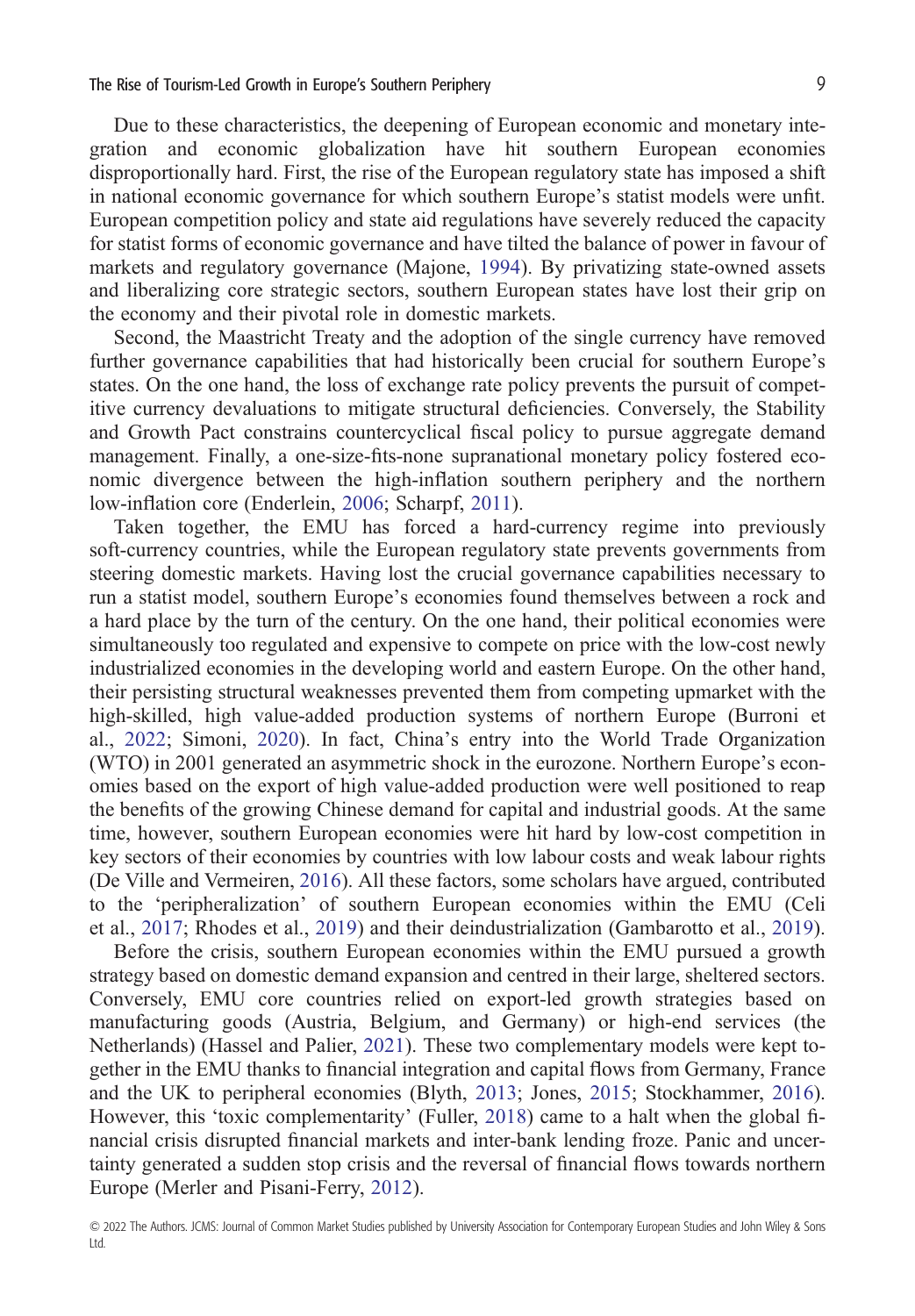Due to these characteristics, the deepening of European economic and monetary integration and economic globalization have hit southern European economies disproportionally hard. First, the rise of the European regulatory state has imposed a shift in national economic governance for which southern Europe's statist models were unfit. European competition policy and state aid regulations have severely reduced the capacity for statist forms of economic governance and have tilted the balance of power in favour of markets and regulatory governance (Majone, [1994\)](#page-20-0). By privatizing state-owned assets and liberalizing core strategic sectors, southern European states have lost their grip on the economy and their pivotal role in domestic markets.

Second, the Maastricht Treaty and the adoption of the single currency have removed further governance capabilities that had historically been crucial for southern Europe's states. On the one hand, the loss of exchange rate policy prevents the pursuit of competitive currency devaluations to mitigate structural deficiencies. Conversely, the Stability and Growth Pact constrains countercyclical fiscal policy to pursue aggregate demand management. Finally, a one-size-fits-none supranational monetary policy fostered economic divergence between the high-inflation southern periphery and the northern low-inflation core (Enderlein, [2006](#page-19-0); Scharpf, [2011](#page-21-0)).

Taken together, the EMU has forced a hard-currency regime into previously soft-currency countries, while the European regulatory state prevents governments from steering domestic markets. Having lost the crucial governance capabilities necessary to run a statist model, southern Europe's economies found themselves between a rock and a hard place by the turn of the century. On the one hand, their political economies were simultaneously too regulated and expensive to compete on price with the low-cost newly industrialized economies in the developing world and eastern Europe. On the other hand, their persisting structural weaknesses prevented them from competing upmarket with the high-skilled, high value-added production systems of northern Europe (Burroni et al., [2022](#page-18-0); Simoni, [2020](#page-21-0)). In fact, China's entry into the World Trade Organization (WTO) in 2001 generated an asymmetric shock in the eurozone. Northern Europe's economies based on the export of high value-added production were well positioned to reap the benefits of the growing Chinese demand for capital and industrial goods. At the same time, however, southern European economies were hit hard by low-cost competition in key sectors of their economies by countries with low labour costs and weak labour rights (De Ville and Vermeiren, [2016\)](#page-18-0). All these factors, some scholars have argued, contributed to the 'peripheralization' of southern European economies within the EMU (Celi et al., [2017;](#page-18-0) Rhodes et al., [2019](#page-21-0)) and their deindustrialization (Gambarotto et al., [2019\)](#page-19-0).

Before the crisis, southern European economies within the EMU pursued a growth strategy based on domestic demand expansion and centred in their large, sheltered sectors. Conversely, EMU core countries relied on export-led growth strategies based on manufacturing goods (Austria, Belgium, and Germany) or high-end services (the Netherlands) (Hassel and Palier, [2021\)](#page-19-0). These two complementary models were kept together in the EMU thanks to financial integration and capital flows from Germany, France and the UK to peripheral economies (Blyth, [2013;](#page-18-0) Jones, [2015](#page-20-0); Stockhammer, [2016\)](#page-21-0). However, this 'toxic complementarity' (Fuller, [2018\)](#page-19-0) came to a halt when the global financial crisis disrupted financial markets and inter-bank lending froze. Panic and uncertainty generated a sudden stop crisis and the reversal of financial flows towards northern Europe (Merler and Pisani-Ferry, [2012](#page-20-0)).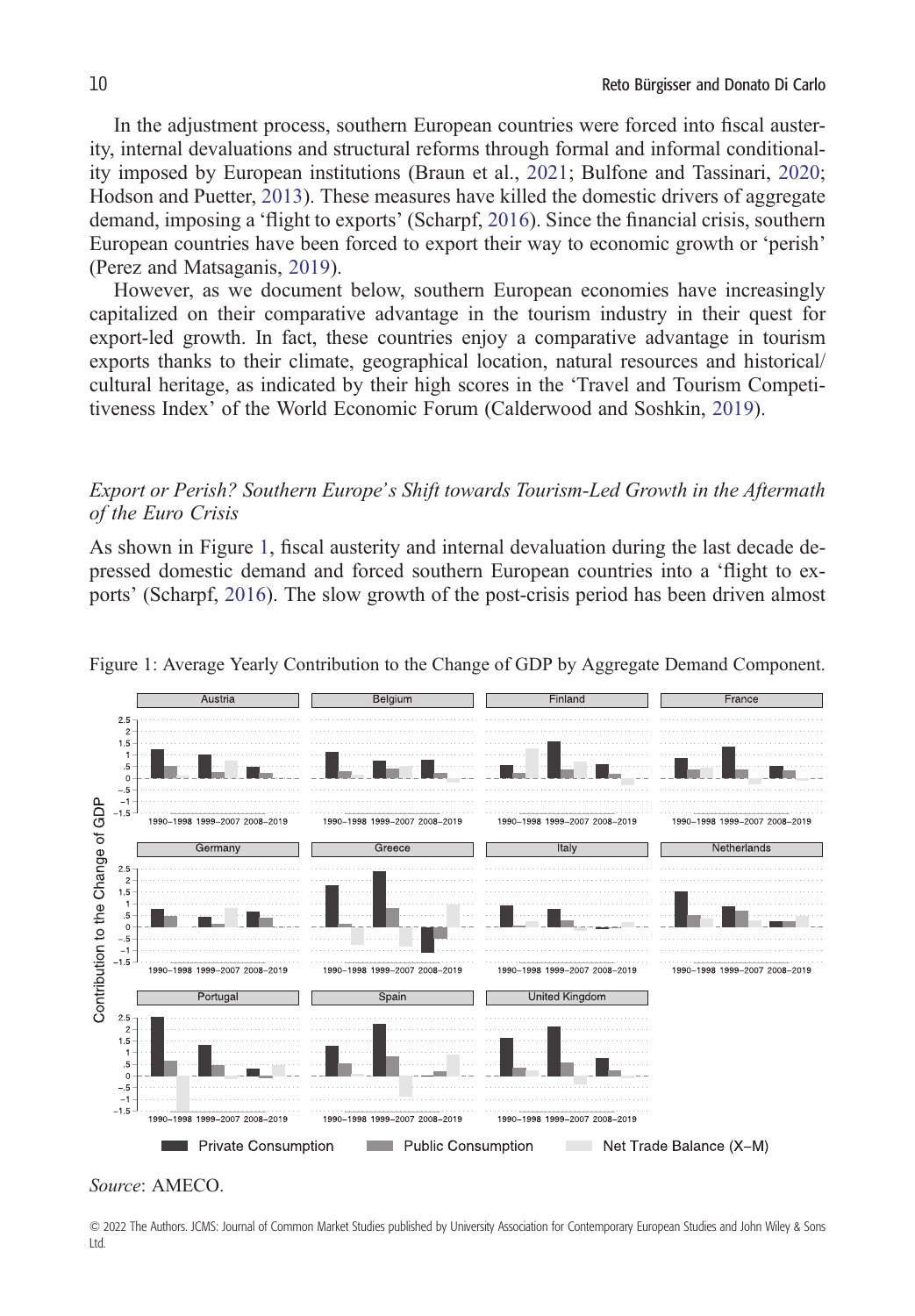In the adjustment process, southern European countries were forced into fiscal austerity, internal devaluations and structural reforms through formal and informal conditionality imposed by European institutions (Braun et al., [2021](#page-18-0); Bulfone and Tassinari, [2020](#page-18-0); Hodson and Puetter, [2013\)](#page-20-0). These measures have killed the domestic drivers of aggregate demand, imposing a 'flight to exports' (Scharpf, [2016](#page-21-0)). Since the financial crisis, southern European countries have been forced to export their way to economic growth or 'perish' (Perez and Matsaganis, [2019\)](#page-21-0).

However, as we document below, southern European economies have increasingly capitalized on their comparative advantage in the tourism industry in their quest for export-led growth. In fact, these countries enjoy a comparative advantage in tourism exports thanks to their climate, geographical location, natural resources and historical/ cultural heritage, as indicated by their high scores in the 'Travel and Tourism Competitiveness Index' of the World Economic Forum (Calderwood and Soshkin, [2019](#page-18-0)).

#### *Export or Perish? Southern Europe's Shift towards Tourism-Led Growth in the Aftermath of the Euro Crisis*

As shown in Figure 1, fiscal austerity and internal devaluation during the last decade depressed domestic demand and forced southern European countries into a 'flight to exports' (Scharpf, [2016](#page-21-0)). The slow growth of the post-crisis period has been driven almost



Figure 1: Average Yearly Contribution to the Change of GDP by Aggregate Demand Component.

© 2022 The Authors. JCMS: Journal of Common Market Studies published by University Association for Contemporary European Studies and John Wiley & Sons Ltd.

*Source*: AMECO.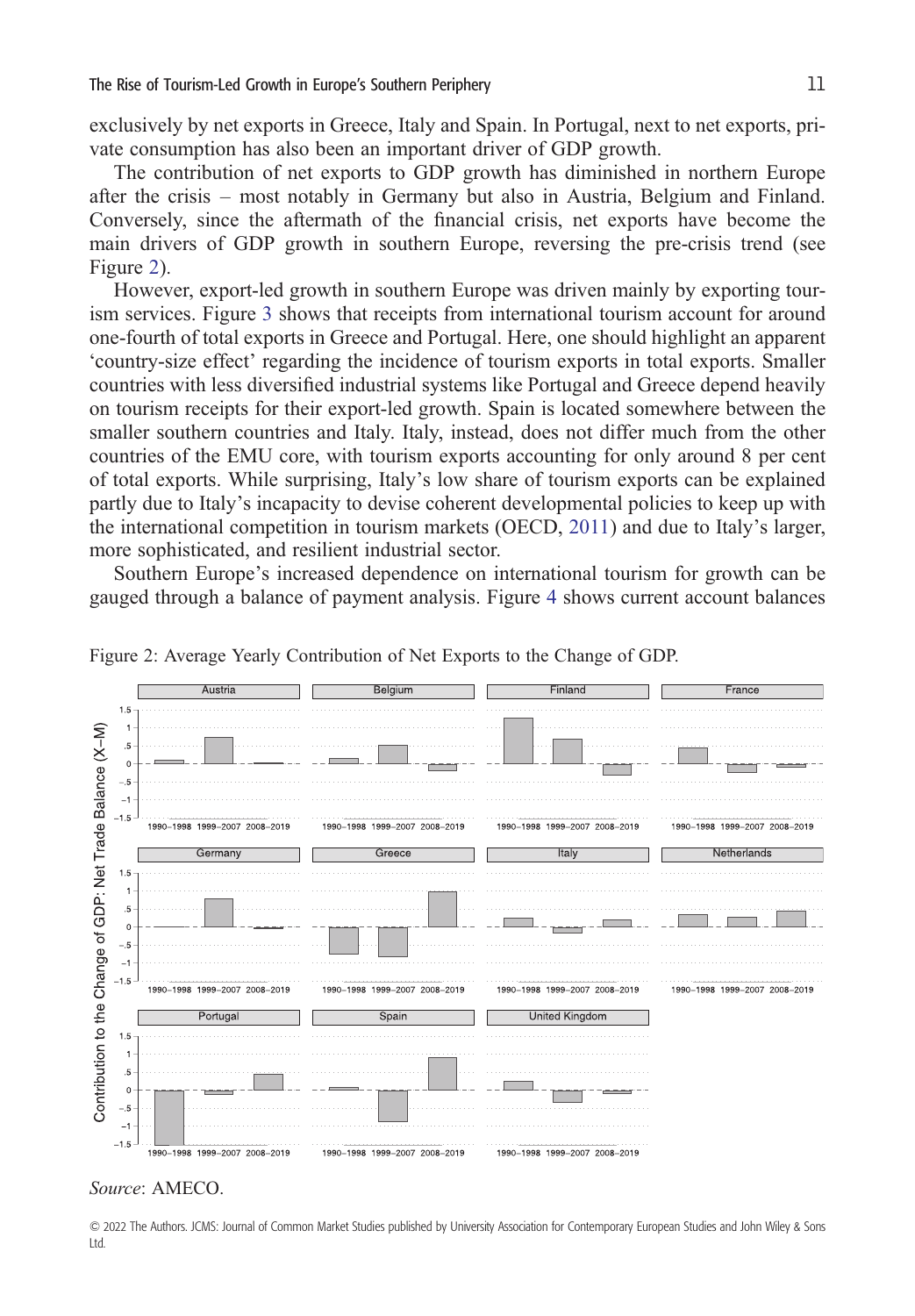exclusively by net exports in Greece, Italy and Spain. In Portugal, next to net exports, private consumption has also been an important driver of GDP growth.

The contribution of net exports to GDP growth has diminished in northern Europe after the crisis – most notably in Germany but also in Austria, Belgium and Finland. Conversely, since the aftermath of the financial crisis, net exports have become the main drivers of GDP growth in southern Europe, reversing the pre-crisis trend (see Figure 2).

However, export-led growth in southern Europe was driven mainly by exporting tourism services. Figure [3](#page-11-0) shows that receipts from international tourism account for around one-fourth of total exports in Greece and Portugal. Here, one should highlight an apparent 'country-size effect' regarding the incidence of tourism exports in total exports. Smaller countries with less diversified industrial systems like Portugal and Greece depend heavily on tourism receipts for their export-led growth. Spain is located somewhere between the smaller southern countries and Italy. Italy, instead, does not differ much from the other countries of the EMU core, with tourism exports accounting for only around 8 per cent of total exports. While surprising, Italy's low share of tourism exports can be explained partly due to Italy's incapacity to devise coherent developmental policies to keep up with the international competition in tourism markets (OECD, [2011](#page-21-0)) and due to Italy's larger, more sophisticated, and resilient industrial sector.

Southern Europe's increased dependence on international tourism for growth can be gauged through a balance of payment analysis. Figure [4](#page-11-0) shows current account balances



Figure 2: Average Yearly Contribution of Net Exports to the Change of GDP.

#### *Source*: AMECO.

© 2022 The Authors. JCMS: Journal of Common Market Studies published by University Association for Contemporary European Studies and John Wiley & Sons Ltd.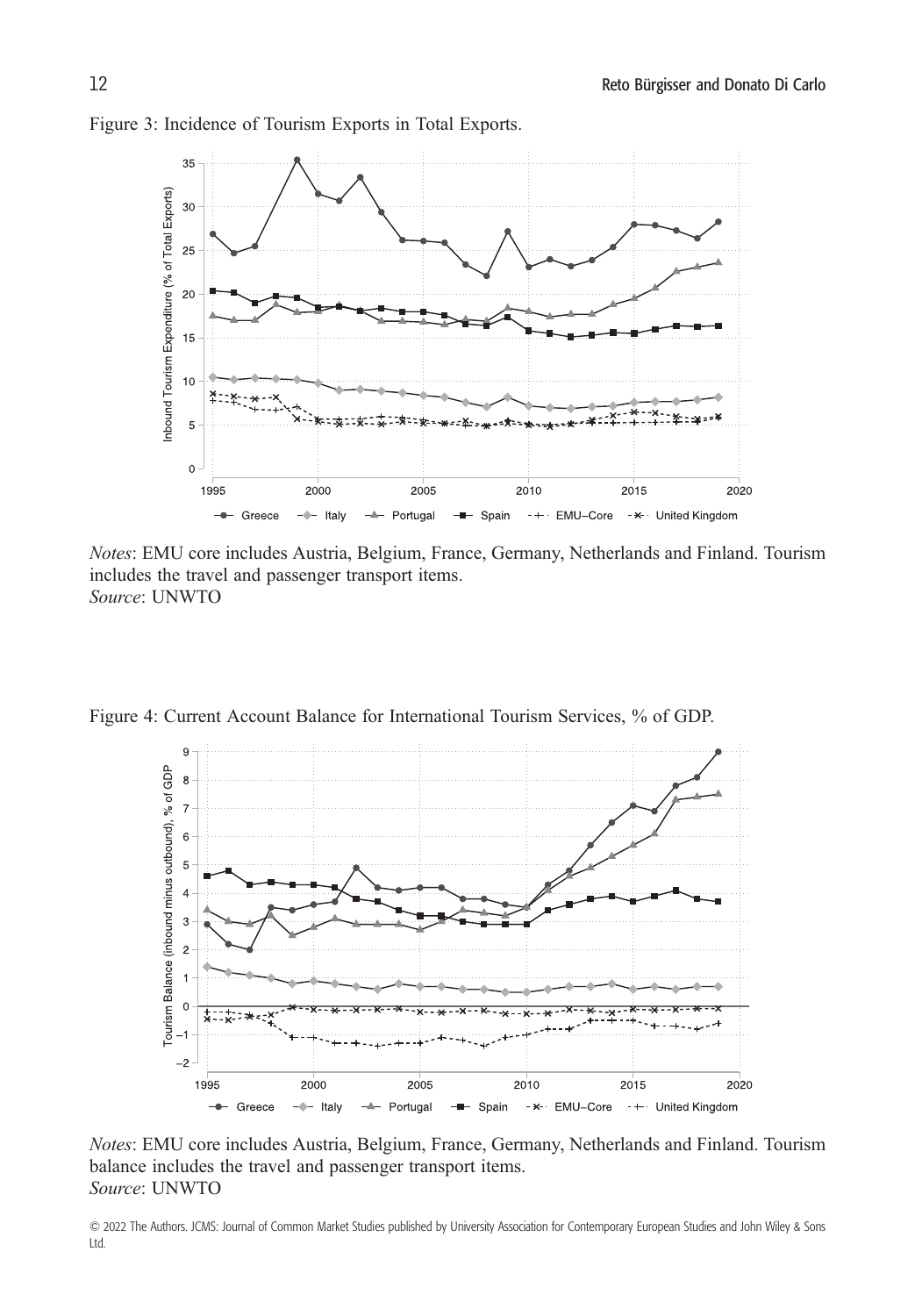

<span id="page-11-0"></span>Figure 3: Incidence of Tourism Exports in Total Exports.

*Notes*: EMU core includes Austria, Belgium, France, Germany, Netherlands and Finland. Tourism includes the travel and passenger transport items. *Source*: UNWTO

Figure 4: Current Account Balance for International Tourism Services, % of GDP.



*Notes*: EMU core includes Austria, Belgium, France, Germany, Netherlands and Finland. Tourism balance includes the travel and passenger transport items. *Source*: UNWTO

© 2022 The Authors. JCMS: Journal of Common Market Studies published by University Association for Contemporary European Studies and John Wiley & Sons Ltd.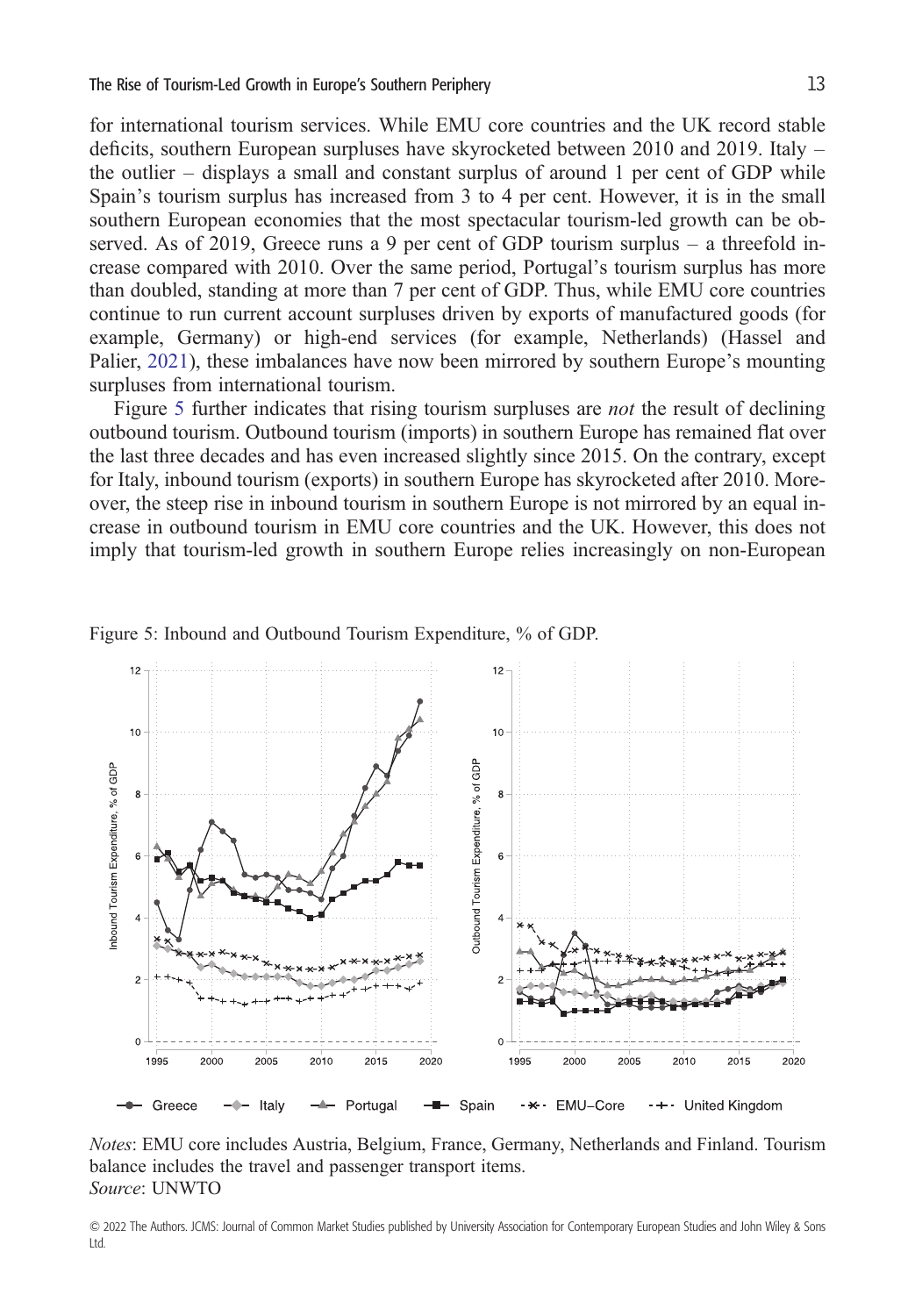for international tourism services. While EMU core countries and the UK record stable deficits, southern European surpluses have skyrocketed between 2010 and 2019. Italy – the outlier – displays a small and constant surplus of around 1 per cent of GDP while Spain's tourism surplus has increased from 3 to 4 per cent. However, it is in the small southern European economies that the most spectacular tourism-led growth can be observed. As of 2019, Greece runs a 9 per cent of GDP tourism surplus – a threefold increase compared with 2010. Over the same period, Portugal's tourism surplus has more than doubled, standing at more than 7 per cent of GDP. Thus, while EMU core countries continue to run current account surpluses driven by exports of manufactured goods (for example, Germany) or high-end services (for example, Netherlands) (Hassel and Palier, [2021](#page-19-0)), these imbalances have now been mirrored by southern Europe's mounting surpluses from international tourism.

Figure 5 further indicates that rising tourism surpluses are *not* the result of declining outbound tourism. Outbound tourism (imports) in southern Europe has remained flat over the last three decades and has even increased slightly since 2015. On the contrary, except for Italy, inbound tourism (exports) in southern Europe has skyrocketed after 2010. Moreover, the steep rise in inbound tourism in southern Europe is not mirrored by an equal increase in outbound tourism in EMU core countries and the UK. However, this does not imply that tourism-led growth in southern Europe relies increasingly on non-European



Figure 5: Inbound and Outbound Tourism Expenditure, % of GDP.

*Notes*: EMU core includes Austria, Belgium, France, Germany, Netherlands and Finland. Tourism balance includes the travel and passenger transport items. *Source*: UNWTO

<sup>© 2022</sup> The Authors. JCMS: Journal of Common Market Studies published by University Association for Contemporary European Studies and John Wiley & Sons Ltd.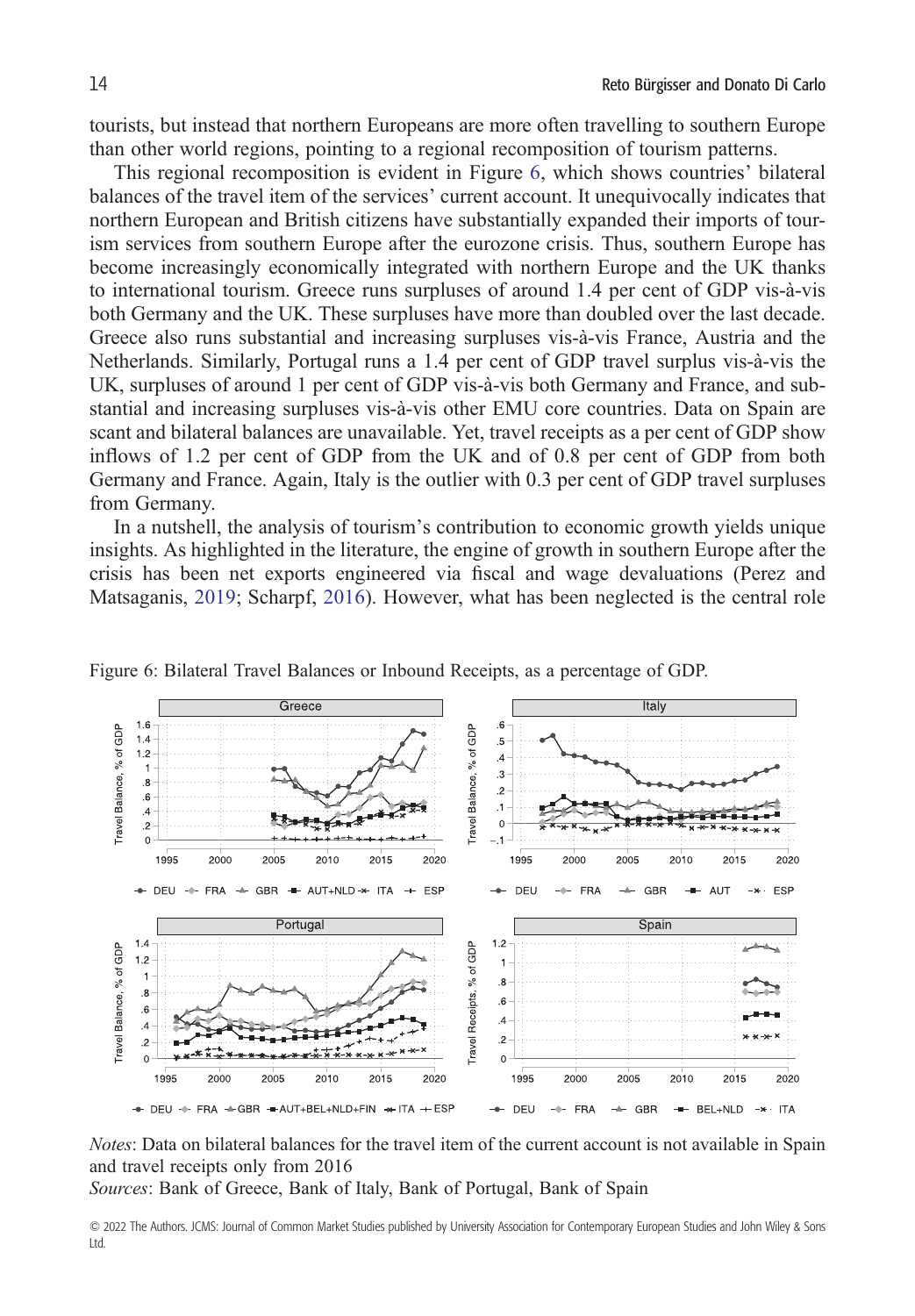tourists, but instead that northern Europeans are more often travelling to southern Europe than other world regions, pointing to a regional recomposition of tourism patterns.

This regional recomposition is evident in Figure 6, which shows countries' bilateral balances of the travel item of the services' current account. It unequivocally indicates that northern European and British citizens have substantially expanded their imports of tourism services from southern Europe after the eurozone crisis. Thus, southern Europe has become increasingly economically integrated with northern Europe and the UK thanks to international tourism. Greece runs surpluses of around 1.4 per cent of GDP vis-à-vis both Germany and the UK. These surpluses have more than doubled over the last decade. Greece also runs substantial and increasing surpluses vis-à-vis France, Austria and the Netherlands. Similarly, Portugal runs a 1.4 per cent of GDP travel surplus vis-à-vis the UK, surpluses of around 1 per cent of GDP vis-à-vis both Germany and France, and substantial and increasing surpluses vis-à-vis other EMU core countries. Data on Spain are scant and bilateral balances are unavailable. Yet, travel receipts as a per cent of GDP show inflows of 1.2 per cent of GDP from the UK and of 0.8 per cent of GDP from both Germany and France. Again, Italy is the outlier with 0.3 per cent of GDP travel surpluses from Germany.

In a nutshell, the analysis of tourism's contribution to economic growth yields unique insights. As highlighted in the literature, the engine of growth in southern Europe after the crisis has been net exports engineered via fiscal and wage devaluations (Perez and Matsaganis, [2019](#page-21-0); Scharpf, [2016](#page-21-0)). However, what has been neglected is the central role



Figure 6: Bilateral Travel Balances or Inbound Receipts, as a percentage of GDP.

*Notes*: Data on bilateral balances for the travel item of the current account is not available in Spain and travel receipts only from 2016

*Sources*: Bank of Greece, Bank of Italy, Bank of Portugal, Bank of Spain

<sup>© 2022</sup> The Authors. JCMS: Journal of Common Market Studies published by University Association for Contemporary European Studies and John Wiley & Sons Ltd.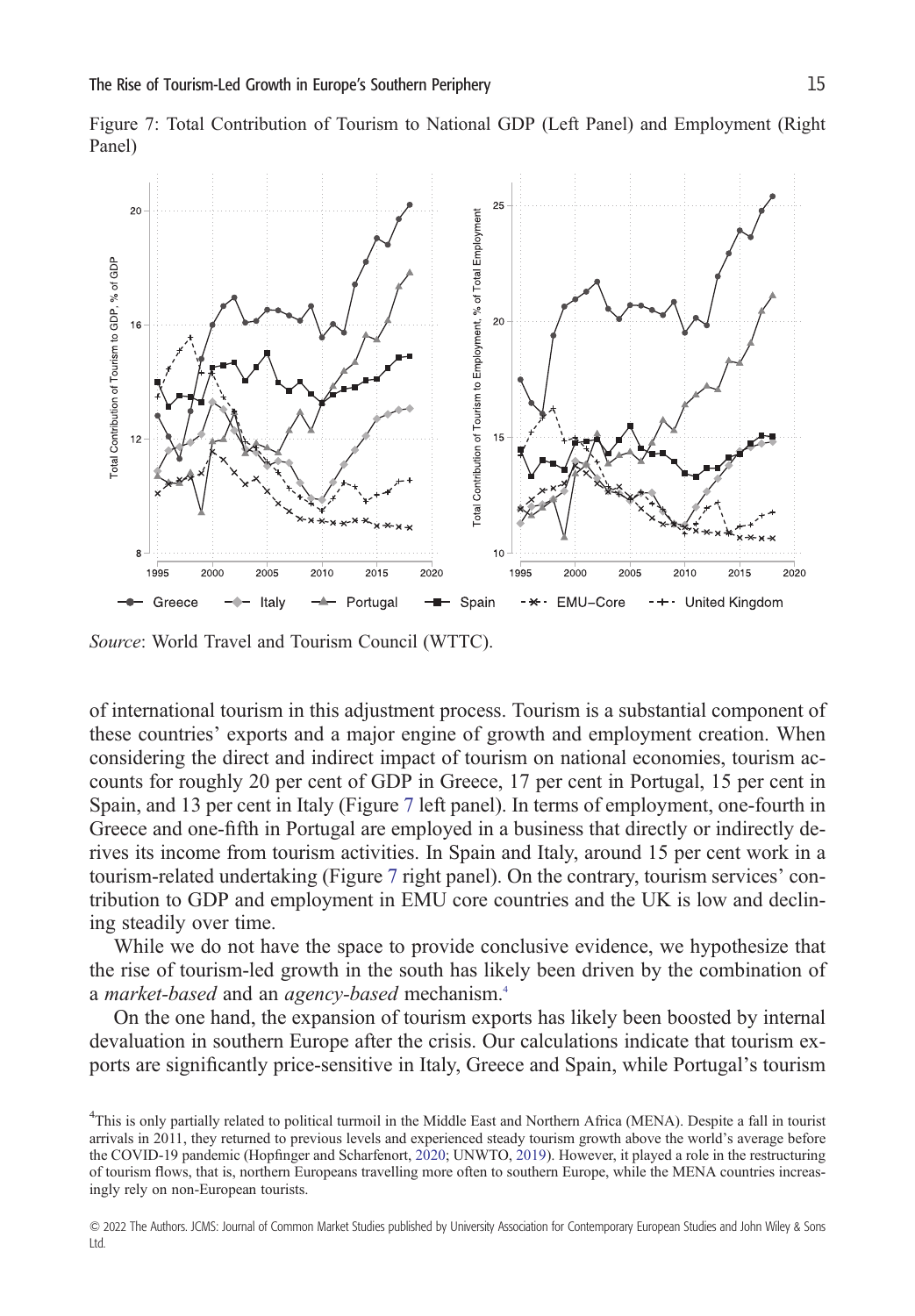

Figure 7: Total Contribution of Tourism to National GDP (Left Panel) and Employment (Right Panel)

*Source*: World Travel and Tourism Council (WTTC).

of international tourism in this adjustment process. Tourism is a substantial component of these countries' exports and a major engine of growth and employment creation. When considering the direct and indirect impact of tourism on national economies, tourism accounts for roughly 20 per cent of GDP in Greece, 17 per cent in Portugal, 15 per cent in Spain, and 13 per cent in Italy (Figure 7 left panel). In terms of employment, one-fourth in Greece and one-fifth in Portugal are employed in a business that directly or indirectly derives its income from tourism activities. In Spain and Italy, around 15 per cent work in a tourism-related undertaking (Figure 7 right panel). On the contrary, tourism services' contribution to GDP and employment in EMU core countries and the UK is low and declining steadily over time.

While we do not have the space to provide conclusive evidence, we hypothesize that the rise of tourism-led growth in the south has likely been driven by the combination of a *market-based* and an *agency-based* mechanism.4

On the one hand, the expansion of tourism exports has likely been boosted by internal devaluation in southern Europe after the crisis. Our calculations indicate that tourism exports are significantly price-sensitive in Italy, Greece and Spain, while Portugal's tourism

<sup>&</sup>lt;sup>4</sup>This is only partially related to political turmoil in the Middle East and Northern Africa (MENA). Despite a fall in tourist arrivals in 2011, they returned to previous levels and experienced steady tourism growth above the world's average before the COVID-19 pandemic (Hopfinger and Scharfenort, [2020;](#page-20-0) UNWTO, [2019](#page-21-0)). However, it played a role in the restructuring of tourism flows, that is, northern Europeans travelling more often to southern Europe, while the MENA countries increasingly rely on non-European tourists.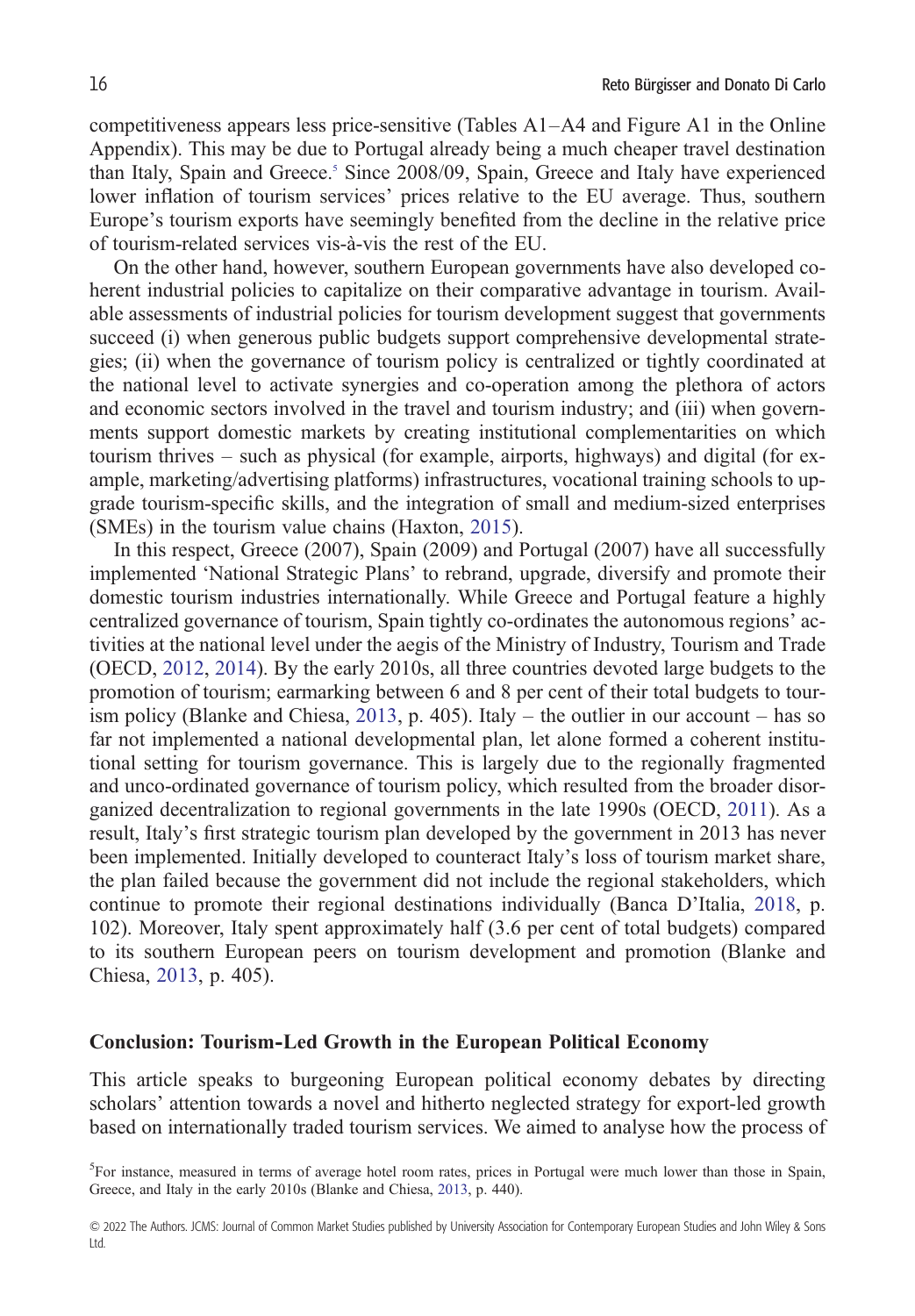competitiveness appears less price-sensitive (Tables A1–A4 and Figure A1 in the Online Appendix). This may be due to Portugal already being a much cheaper travel destination than Italy, Spain and Greece.<sup>5</sup> Since 2008/09, Spain, Greece and Italy have experienced lower inflation of tourism services' prices relative to the EU average. Thus, southern Europe's tourism exports have seemingly benefited from the decline in the relative price of tourism-related services vis-à-vis the rest of the EU.

On the other hand, however, southern European governments have also developed coherent industrial policies to capitalize on their comparative advantage in tourism. Available assessments of industrial policies for tourism development suggest that governments succeed (i) when generous public budgets support comprehensive developmental strategies; (ii) when the governance of tourism policy is centralized or tightly coordinated at the national level to activate synergies and co-operation among the plethora of actors and economic sectors involved in the travel and tourism industry; and (iii) when governments support domestic markets by creating institutional complementarities on which tourism thrives – such as physical (for example, airports, highways) and digital (for example, marketing/advertising platforms) infrastructures, vocational training schools to upgrade tourism-specific skills, and the integration of small and medium-sized enterprises (SMEs) in the tourism value chains (Haxton, [2015](#page-19-0)).

In this respect, Greece (2007), Spain (2009) and Portugal (2007) have all successfully implemented 'National Strategic Plans' to rebrand, upgrade, diversify and promote their domestic tourism industries internationally. While Greece and Portugal feature a highly centralized governance of tourism, Spain tightly co-ordinates the autonomous regions' activities at the national level under the aegis of the Ministry of Industry, Tourism and Trade (OECD, [2012](#page-21-0), [2014\)](#page-21-0). By the early 2010s, all three countries devoted large budgets to the promotion of tourism; earmarking between 6 and 8 per cent of their total budgets to tour-ism policy (Blanke and Chiesa, [2013,](#page-18-0) p. 405). Italy – the outlier in our account – has so far not implemented a national developmental plan, let alone formed a coherent institutional setting for tourism governance. This is largely due to the regionally fragmented and unco-ordinated governance of tourism policy, which resulted from the broader disorganized decentralization to regional governments in the late 1990s (OECD, [2011](#page-21-0)). As a result, Italy's first strategic tourism plan developed by the government in 2013 has never been implemented. Initially developed to counteract Italy's loss of tourism market share, the plan failed because the government did not include the regional stakeholders, which continue to promote their regional destinations individually (Banca D'Italia, [2018,](#page-18-0) p. 102). Moreover, Italy spent approximately half (3.6 per cent of total budgets) compared to its southern European peers on tourism development and promotion (Blanke and Chiesa, [2013,](#page-18-0) p. 405).

#### **Conclusion: Tourism-Led Growth in the European Political Economy**

This article speaks to burgeoning European political economy debates by directing scholars' attention towards a novel and hitherto neglected strategy for export-led growth based on internationally traded tourism services. We aimed to analyse how the process of

<sup>&</sup>lt;sup>5</sup>For instance, measured in terms of average hotel room rates, prices in Portugal were much lower than those in Spain, Greece, and Italy in the early 2010s (Blanke and Chiesa, [2013,](#page-18-0) p. 440).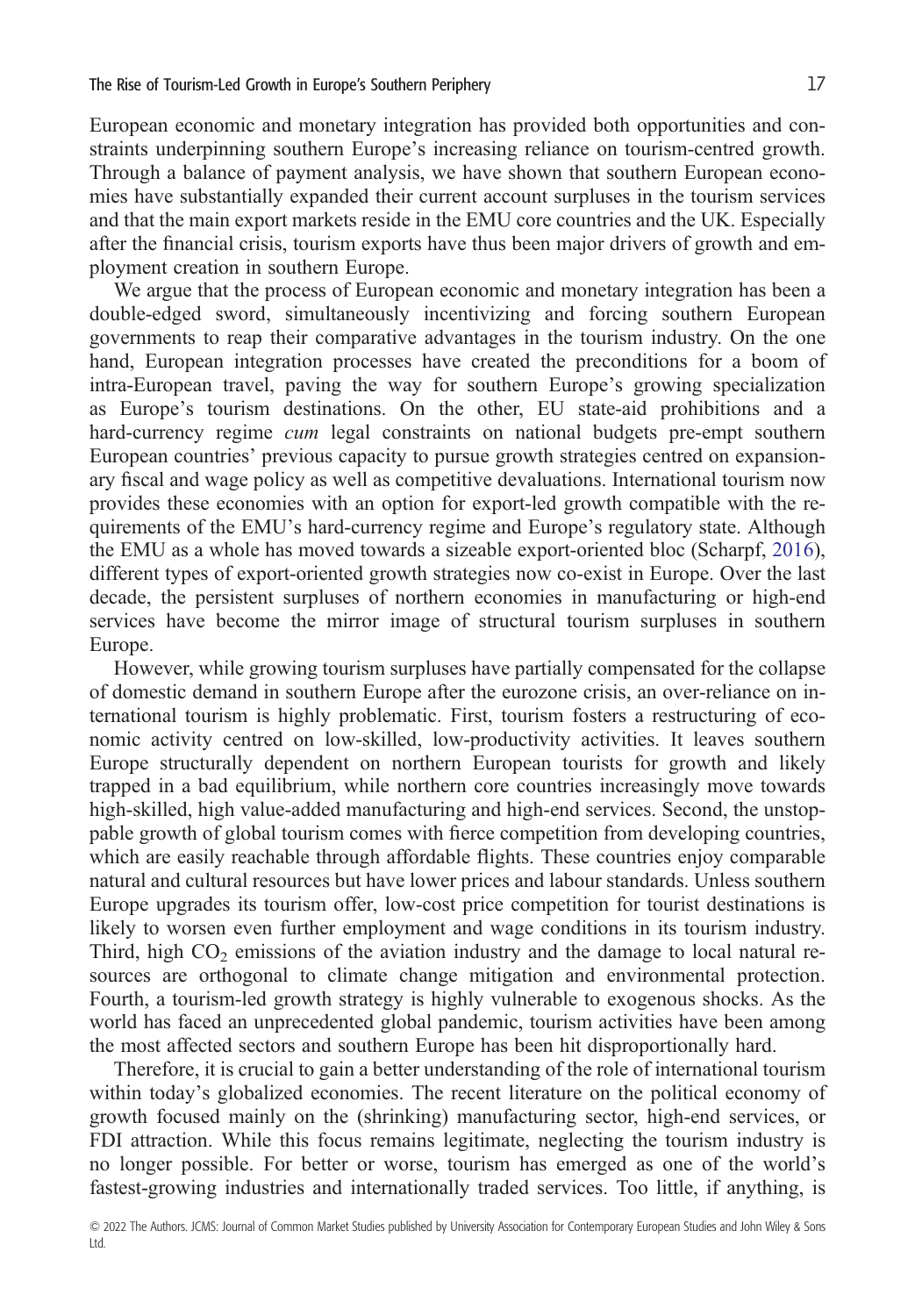European economic and monetary integration has provided both opportunities and constraints underpinning southern Europe's increasing reliance on tourism-centred growth. Through a balance of payment analysis, we have shown that southern European economies have substantially expanded their current account surpluses in the tourism services and that the main export markets reside in the EMU core countries and the UK. Especially after the financial crisis, tourism exports have thus been major drivers of growth and employment creation in southern Europe.

We argue that the process of European economic and monetary integration has been a double-edged sword, simultaneously incentivizing and forcing southern European governments to reap their comparative advantages in the tourism industry. On the one hand, European integration processes have created the preconditions for a boom of intra-European travel, paving the way for southern Europe's growing specialization as Europe's tourism destinations. On the other, EU state-aid prohibitions and a hard-currency regime *cum* legal constraints on national budgets pre-empt southern European countries' previous capacity to pursue growth strategies centred on expansionary fiscal and wage policy as well as competitive devaluations. International tourism now provides these economies with an option for export-led growth compatible with the requirements of the EMU's hard-currency regime and Europe's regulatory state. Although the EMU as a whole has moved towards a sizeable export-oriented bloc (Scharpf, [2016\)](#page-21-0), different types of export-oriented growth strategies now co-exist in Europe. Over the last decade, the persistent surpluses of northern economies in manufacturing or high-end services have become the mirror image of structural tourism surpluses in southern Europe.

However, while growing tourism surpluses have partially compensated for the collapse of domestic demand in southern Europe after the eurozone crisis, an over-reliance on international tourism is highly problematic. First, tourism fosters a restructuring of economic activity centred on low-skilled, low-productivity activities. It leaves southern Europe structurally dependent on northern European tourists for growth and likely trapped in a bad equilibrium, while northern core countries increasingly move towards high-skilled, high value-added manufacturing and high-end services. Second, the unstoppable growth of global tourism comes with fierce competition from developing countries, which are easily reachable through affordable flights. These countries enjoy comparable natural and cultural resources but have lower prices and labour standards. Unless southern Europe upgrades its tourism offer, low-cost price competition for tourist destinations is likely to worsen even further employment and wage conditions in its tourism industry. Third, high  $CO<sub>2</sub>$  emissions of the aviation industry and the damage to local natural resources are orthogonal to climate change mitigation and environmental protection. Fourth, a tourism-led growth strategy is highly vulnerable to exogenous shocks. As the world has faced an unprecedented global pandemic, tourism activities have been among the most affected sectors and southern Europe has been hit disproportionally hard.

Therefore, it is crucial to gain a better understanding of the role of international tourism within today's globalized economies. The recent literature on the political economy of growth focused mainly on the (shrinking) manufacturing sector, high-end services, or FDI attraction. While this focus remains legitimate, neglecting the tourism industry is no longer possible. For better or worse, tourism has emerged as one of the world's fastest-growing industries and internationally traded services. Too little, if anything, is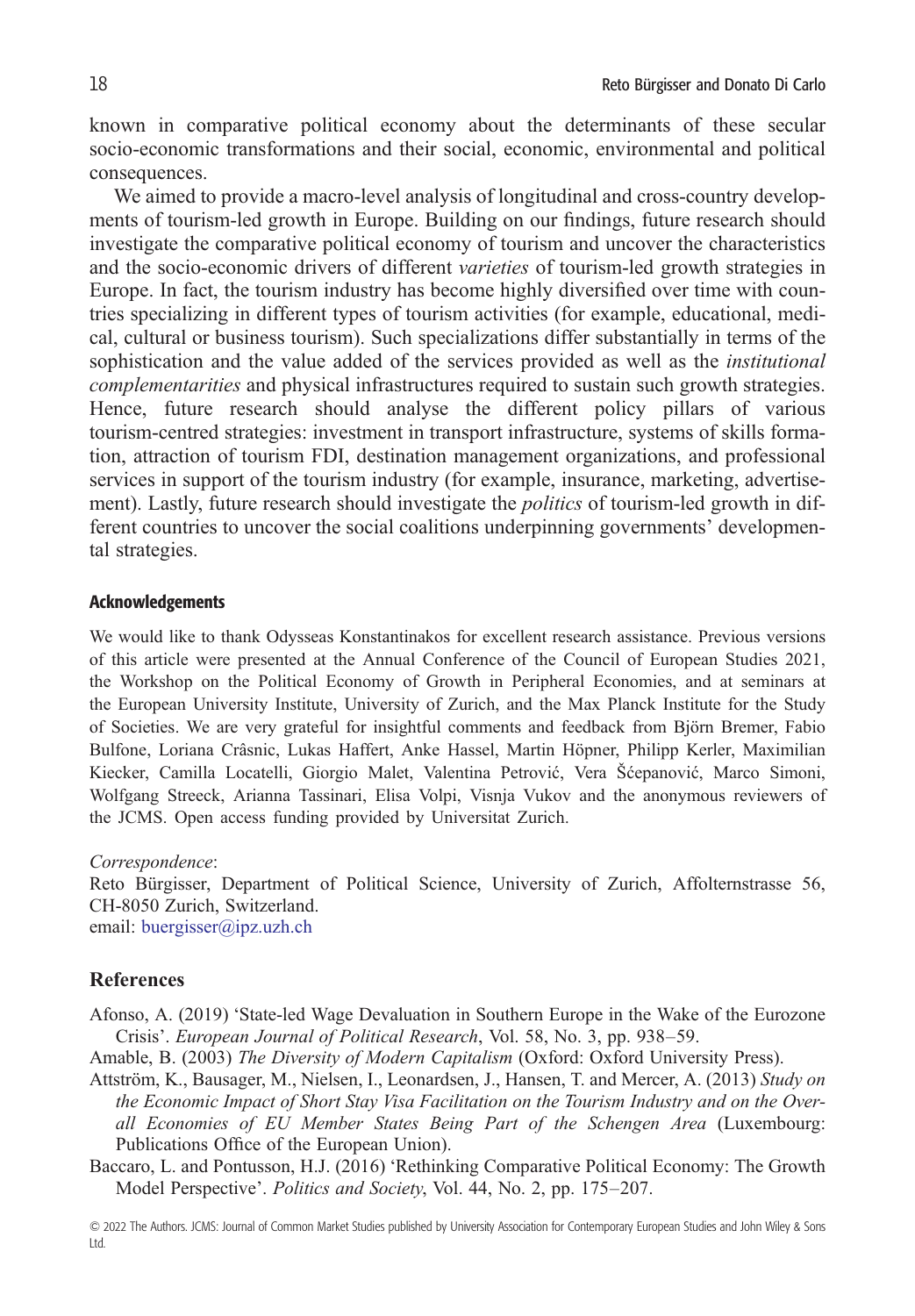<span id="page-17-0"></span>known in comparative political economy about the determinants of these secular socio-economic transformations and their social, economic, environmental and political consequences.

We aimed to provide a macro-level analysis of longitudinal and cross-country developments of tourism-led growth in Europe. Building on our findings, future research should investigate the comparative political economy of tourism and uncover the characteristics and the socio-economic drivers of different *varieties* of tourism-led growth strategies in Europe. In fact, the tourism industry has become highly diversified over time with countries specializing in different types of tourism activities (for example, educational, medical, cultural or business tourism). Such specializations differ substantially in terms of the sophistication and the value added of the services provided as well as the *institutional complementarities* and physical infrastructures required to sustain such growth strategies. Hence, future research should analyse the different policy pillars of various tourism-centred strategies: investment in transport infrastructure, systems of skills formation, attraction of tourism FDI, destination management organizations, and professional services in support of the tourism industry (for example, insurance, marketing, advertisement). Lastly, future research should investigate the *politics* of tourism-led growth in different countries to uncover the social coalitions underpinning governments' developmental strategies.

#### Acknowledgements

We would like to thank Odysseas Konstantinakos for excellent research assistance. Previous versions of this article were presented at the Annual Conference of the Council of European Studies 2021, the Workshop on the Political Economy of Growth in Peripheral Economies, and at seminars at the European University Institute, University of Zurich, and the Max Planck Institute for the Study of Societies. We are very grateful for insightful comments and feedback from Björn Bremer, Fabio Bulfone, Loriana Crâsnic, Lukas Haffert, Anke Hassel, Martin Höpner, Philipp Kerler, Maximilian Kiecker, Camilla Locatelli, Giorgio Malet, Valentina Petrović, Vera Šćepanović, Marco Simoni, Wolfgang Streeck, Arianna Tassinari, Elisa Volpi, Visnja Vukov and the anonymous reviewers of the JCMS. Open access funding provided by Universitat Zurich.

*Correspondence*:

Reto Bürgisser, Department of Political Science, University of Zurich, Affolternstrasse 56, CH-8050 Zurich, Switzerland. email: [buergisser@ipz.uzh.ch](mailto:buergisser@ipz.uzh.ch)

### **References**

- Afonso, A. (2019) 'State-led Wage Devaluation in Southern Europe in the Wake of the Eurozone Crisis'. *European Journal of Political Research*, Vol. 58, No. 3, pp. 938–59.
- Amable, B. (2003) *The Diversity of Modern Capitalism* (Oxford: Oxford University Press).
- Attström, K., Bausager, M., Nielsen, I., Leonardsen, J., Hansen, T. and Mercer, A. (2013) *Study on the Economic Impact of Short Stay Visa Facilitation on the Tourism Industry and on the Overall Economies of EU Member States Being Part of the Schengen Area* (Luxembourg: Publications Office of the European Union).
- Baccaro, L. and Pontusson, H.J. (2016) 'Rethinking Comparative Political Economy: The Growth Model Perspective'. *Politics and Society*, Vol. 44, No. 2, pp. 175–207.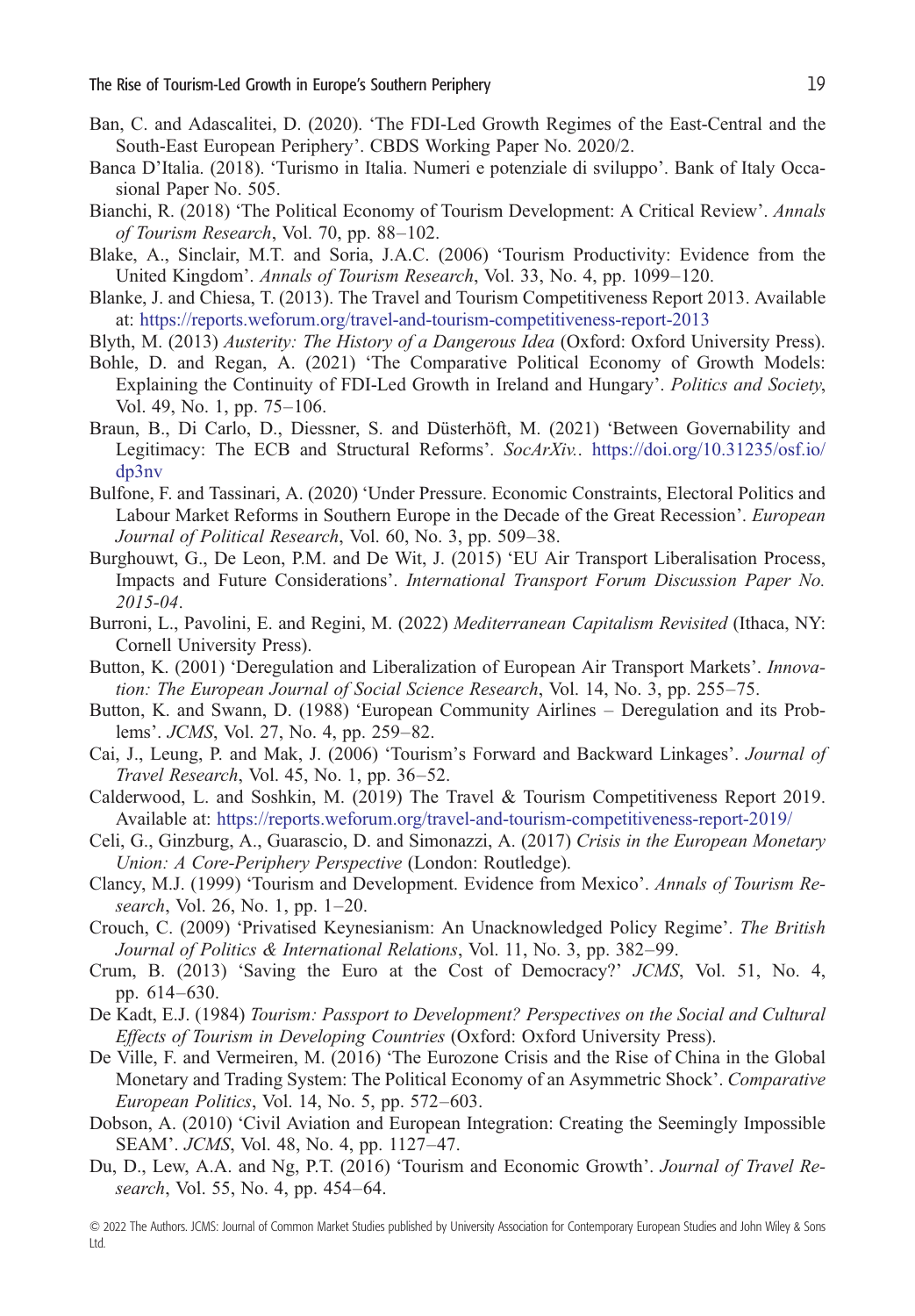- <span id="page-18-0"></span>Ban, C. and Adascalitei, D. (2020). 'The FDI-Led Growth Regimes of the East-Central and the South-East European Periphery'. CBDS Working Paper No. 2020/2.
- Banca D'Italia. (2018). 'Turismo in Italia. Numeri e potenziale di sviluppo'. Bank of Italy Occasional Paper No. 505.
- Bianchi, R. (2018) 'The Political Economy of Tourism Development: A Critical Review'. *Annals of Tourism Research*, Vol. 70, pp. 88–102.
- Blake, A., Sinclair, M.T. and Soria, J.A.C. (2006) 'Tourism Productivity: Evidence from the United Kingdom'. *Annals of Tourism Research*, Vol. 33, No. 4, pp. 1099–120.
- Blanke, J. and Chiesa, T. (2013). The Travel and Tourism Competitiveness Report 2013. Available at: <https://reports.weforum.org/travel-and-tourism-competitiveness-report-2013>
- Blyth, M. (2013) *Austerity: The History of a Dangerous Idea* (Oxford: Oxford University Press).
- Bohle, D. and Regan, A. (2021) 'The Comparative Political Economy of Growth Models: Explaining the Continuity of FDI-Led Growth in Ireland and Hungary'. *Politics and Society*, Vol. 49, No. 1, pp. 75–106.
- Braun, B., Di Carlo, D., Diessner, S. and Düsterhöft, M. (2021) 'Between Governability and Legitimacy: The ECB and Structural Reforms'. *SocArXiv.*. [https://doi.org/10.31235/osf.io/](https://doi.org/10.31235/osf.io/dp3nv) [dp3nv](https://doi.org/10.31235/osf.io/dp3nv)
- Bulfone, F. and Tassinari, A. (2020) 'Under Pressure. Economic Constraints, Electoral Politics and Labour Market Reforms in Southern Europe in the Decade of the Great Recession'. *European Journal of Political Research*, Vol. 60, No. 3, pp. 509–38.
- Burghouwt, G., De Leon, P.M. and De Wit, J. (2015) 'EU Air Transport Liberalisation Process, Impacts and Future Considerations'. *International Transport Forum Discussion Paper No. 2015-04*.
- Burroni, L., Pavolini, E. and Regini, M. (2022) *Mediterranean Capitalism Revisited* (Ithaca, NY: Cornell University Press).
- Button, K. (2001) 'Deregulation and Liberalization of European Air Transport Markets'. *Innovation: The European Journal of Social Science Research*, Vol. 14, No. 3, pp. 255–75.
- Button, K. and Swann, D. (1988) 'European Community Airlines Deregulation and its Problems'. *JCMS*, Vol. 27, No. 4, pp. 259–82.
- Cai, J., Leung, P. and Mak, J. (2006) 'Tourism's Forward and Backward Linkages'. *Journal of Travel Research*, Vol. 45, No. 1, pp. 36–52.
- Calderwood, L. and Soshkin, M. (2019) The Travel & Tourism Competitiveness Report 2019. Available at: <https://reports.weforum.org/travel-and-tourism-competitiveness-report-2019/>
- Celi, G., Ginzburg, A., Guarascio, D. and Simonazzi, A. (2017) *Crisis in the European Monetary Union: A Core-Periphery Perspective* (London: Routledge).
- Clancy, M.J. (1999) 'Tourism and Development. Evidence from Mexico'. *Annals of Tourism Research*, Vol. 26, No. 1, pp. 1–20.
- Crouch, C. (2009) 'Privatised Keynesianism: An Unacknowledged Policy Regime'. *The British Journal of Politics & International Relations*, Vol. 11, No. 3, pp. 382–99.
- Crum, B. (2013) 'Saving the Euro at the Cost of Democracy?' *JCMS*, Vol. 51, No. 4, pp. 614–630.
- De Kadt, E.J. (1984) *Tourism: Passport to Development? Perspectives on the Social and Cultural Effects of Tourism in Developing Countries* (Oxford: Oxford University Press).
- De Ville, F. and Vermeiren, M. (2016) 'The Eurozone Crisis and the Rise of China in the Global Monetary and Trading System: The Political Economy of an Asymmetric Shock'. *Comparative European Politics*, Vol. 14, No. 5, pp. 572–603.
- Dobson, A. (2010) 'Civil Aviation and European Integration: Creating the Seemingly Impossible SEAM'. *JCMS*, Vol. 48, No. 4, pp. 1127–47.
- Du, D., Lew, A.A. and Ng, P.T. (2016) 'Tourism and Economic Growth'. *Journal of Travel Research*, Vol. 55, No. 4, pp. 454–64.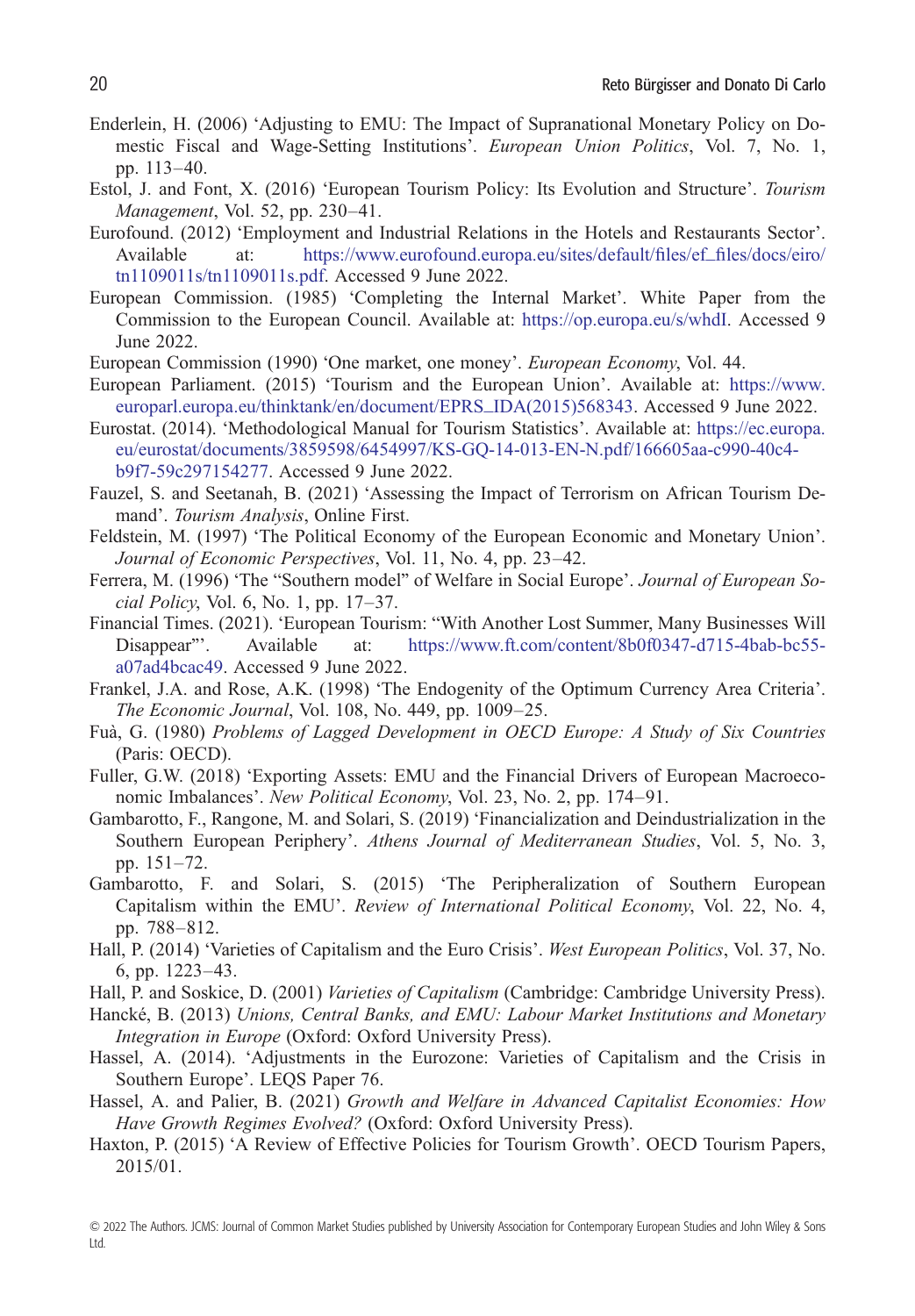- <span id="page-19-0"></span>Enderlein, H. (2006) 'Adjusting to EMU: The Impact of Supranational Monetary Policy on Domestic Fiscal and Wage-Setting Institutions'. *European Union Politics*, Vol. 7, No. 1, pp. 113–40.
- Estol, J. and Font, X. (2016) 'European Tourism Policy: Its Evolution and Structure'. *Tourism Management*, Vol. 52, pp. 230–41.
- Eurofound. (2012) 'Employment and Industrial Relations in the Hotels and Restaurants Sector'. Available at: [https://www.eurofound.europa.eu/sites/default/](https://www.eurofound.europa.eu/sites/default/files/ef_files/docs/eiro/tn1109011s/tn1109011s.pdf)files/ef\_files/docs/eiro/ [tn1109011s/tn1109011s.pdf.](https://www.eurofound.europa.eu/sites/default/files/ef_files/docs/eiro/tn1109011s/tn1109011s.pdf) Accessed 9 June 2022.
- European Commission. (1985) 'Completing the Internal Market'. White Paper from the Commission to the European Council. Available at: <https://op.europa.eu/s/whdI>. Accessed 9 June 2022.
- European Commission (1990) 'One market, one money'. *European Economy*, Vol. 44.
- European Parliament. (2015) 'Tourism and the European Union'. Available at: [https://www.](https://www.europarl.europa.eu/thinktank/en/document/EPRS_IDA(2015)568343) [europarl.europa.eu/thinktank/en/document/EPRS\\_IDA\(2015\)568343.](https://www.europarl.europa.eu/thinktank/en/document/EPRS_IDA(2015)568343) Accessed 9 June 2022.
- Eurostat. (2014). 'Methodological Manual for Tourism Statistics'. Available at: [https://ec.europa.](https://ec.europa.eu/eurostat/documents/3859598/6454997/KS-GQ-14-013-EN-N.pdf/166605aa-c990-40c4-b9f7-59c297154277) [eu/eurostat/documents/3859598/6454997/KS-GQ-14-013-EN-N.pdf/166605aa-c990-40c4](https://ec.europa.eu/eurostat/documents/3859598/6454997/KS-GQ-14-013-EN-N.pdf/166605aa-c990-40c4-b9f7-59c297154277) [b9f7-59c297154277](https://ec.europa.eu/eurostat/documents/3859598/6454997/KS-GQ-14-013-EN-N.pdf/166605aa-c990-40c4-b9f7-59c297154277). Accessed 9 June 2022.
- Fauzel, S. and Seetanah, B. (2021) 'Assessing the Impact of Terrorism on African Tourism Demand'. *Tourism Analysis*, Online First.
- Feldstein, M. (1997) 'The Political Economy of the European Economic and Monetary Union'. *Journal of Economic Perspectives*, Vol. 11, No. 4, pp. 23–42.
- Ferrera, M. (1996) 'The "Southern model" of Welfare in Social Europe'. *Journal of European Social Policy*, Vol. 6, No. 1, pp. 17–37.
- Financial Times. (2021). 'European Tourism: "With Another Lost Summer, Many Businesses Will Disappear"'. Available at: [https://www.ft.com/content/8b0f0347-d715-4bab-bc55](https://www.ft.com/content/8b0f0347-d715-4bab-bc55-a07ad4bcac49) [a07ad4bcac49](https://www.ft.com/content/8b0f0347-d715-4bab-bc55-a07ad4bcac49). Accessed 9 June 2022.
- Frankel, J.A. and Rose, A.K. (1998) 'The Endogenity of the Optimum Currency Area Criteria'. *The Economic Journal*, Vol. 108, No. 449, pp. 1009–25.
- Fuà, G. (1980) *Problems of Lagged Development in OECD Europe: A Study of Six Countries* (Paris: OECD).
- Fuller, G.W. (2018) 'Exporting Assets: EMU and the Financial Drivers of European Macroeconomic Imbalances'. *New Political Economy*, Vol. 23, No. 2, pp. 174–91.
- Gambarotto, F., Rangone, M. and Solari, S. (2019) 'Financialization and Deindustrialization in the Southern European Periphery'. *Athens Journal of Mediterranean Studies*, Vol. 5, No. 3, pp. 151–72.
- Gambarotto, F. and Solari, S. (2015) 'The Peripheralization of Southern European Capitalism within the EMU'. *Review of International Political Economy*, Vol. 22, No. 4, pp. 788–812.
- Hall, P. (2014) 'Varieties of Capitalism and the Euro Crisis'. *West European Politics*, Vol. 37, No. 6, pp. 1223–43.
- Hall, P. and Soskice, D. (2001) *Varieties of Capitalism* (Cambridge: Cambridge University Press).
- Hancké, B. (2013) *Unions, Central Banks, and EMU: Labour Market Institutions and Monetary Integration in Europe* (Oxford: Oxford University Press).
- Hassel, A. (2014). 'Adjustments in the Eurozone: Varieties of Capitalism and the Crisis in Southern Europe'. LEQS Paper 76.
- Hassel, A. and Palier, B. (2021) *Growth and Welfare in Advanced Capitalist Economies: How Have Growth Regimes Evolved?* (Oxford: Oxford University Press).
- Haxton, P. (2015) 'A Review of Effective Policies for Tourism Growth'. OECD Tourism Papers, 2015/01.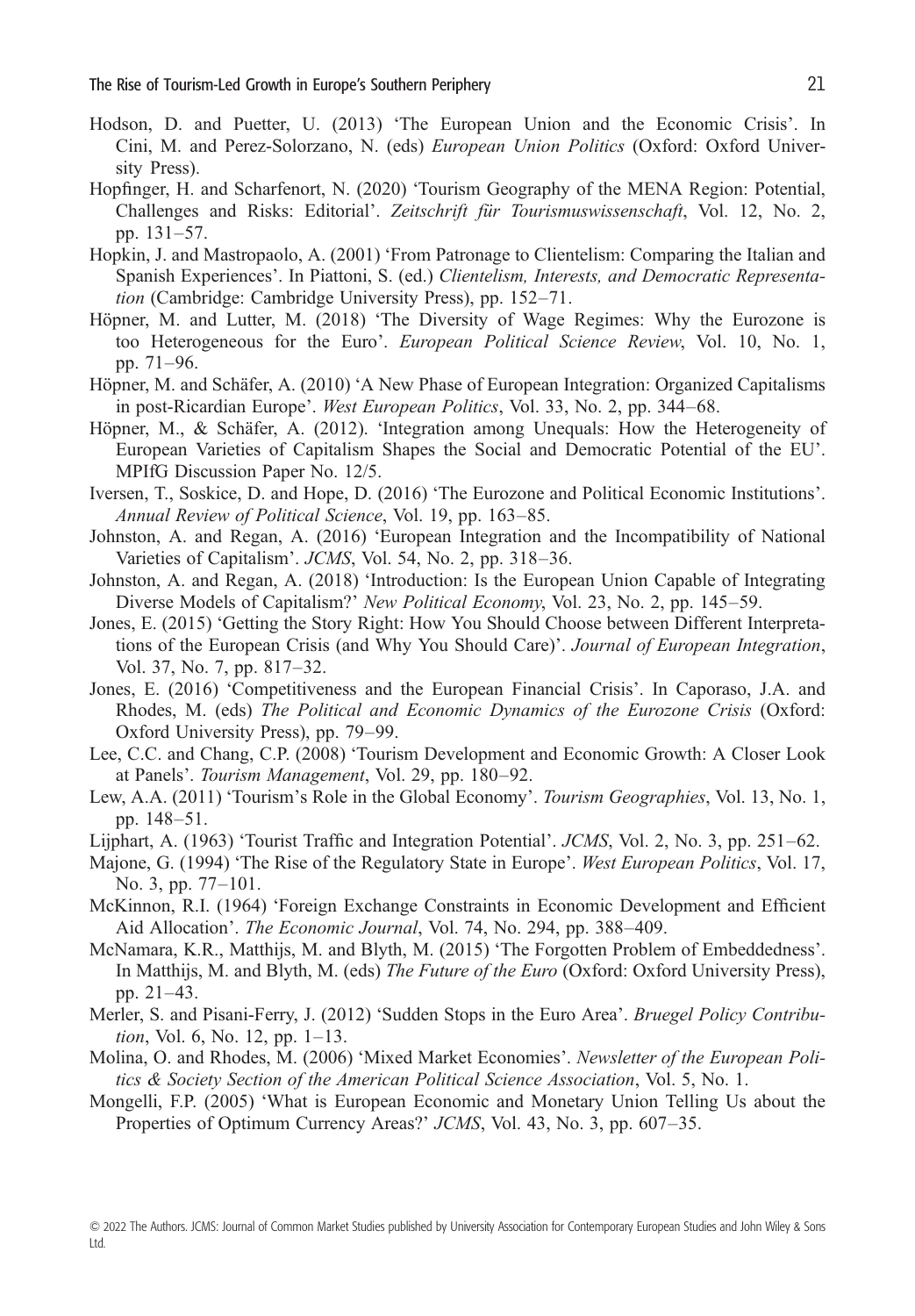- <span id="page-20-0"></span>Hodson, D. and Puetter, U. (2013) 'The European Union and the Economic Crisis'. In Cini, M. and Perez-Solorzano, N. (eds) *European Union Politics* (Oxford: Oxford University Press).
- Hopfinger, H. and Scharfenort, N. (2020) 'Tourism Geography of the MENA Region: Potential, Challenges and Risks: Editorial'. *Zeitschrift für Tourismuswissenschaft*, Vol. 12, No. 2, pp. 131–57.
- Hopkin, J. and Mastropaolo, A. (2001) 'From Patronage to Clientelism: Comparing the Italian and Spanish Experiences'. In Piattoni, S. (ed.) *Clientelism, Interests, and Democratic Representation* (Cambridge: Cambridge University Press), pp. 152–71.
- Höpner, M. and Lutter, M. (2018) 'The Diversity of Wage Regimes: Why the Eurozone is too Heterogeneous for the Euro'. *European Political Science Review*, Vol. 10, No. 1, pp. 71–96.
- Höpner, M. and Schäfer, A. (2010) 'A New Phase of European Integration: Organized Capitalisms in post-Ricardian Europe'. *West European Politics*, Vol. 33, No. 2, pp. 344–68.
- Höpner, M., & Schäfer, A. (2012). 'Integration among Unequals: How the Heterogeneity of European Varieties of Capitalism Shapes the Social and Democratic Potential of the EU'. MPIfG Discussion Paper No. 12/5.
- Iversen, T., Soskice, D. and Hope, D. (2016) 'The Eurozone and Political Economic Institutions'. *Annual Review of Political Science*, Vol. 19, pp. 163–85.
- Johnston, A. and Regan, A. (2016) 'European Integration and the Incompatibility of National Varieties of Capitalism'. *JCMS*, Vol. 54, No. 2, pp. 318–36.
- Johnston, A. and Regan, A. (2018) 'Introduction: Is the European Union Capable of Integrating Diverse Models of Capitalism?' *New Political Economy*, Vol. 23, No. 2, pp. 145–59.
- Jones, E. (2015) 'Getting the Story Right: How You Should Choose between Different Interpretations of the European Crisis (and Why You Should Care)'. *Journal of European Integration*, Vol. 37, No. 7, pp. 817–32.
- Jones, E. (2016) 'Competitiveness and the European Financial Crisis'. In Caporaso, J.A. and Rhodes, M. (eds) *The Political and Economic Dynamics of the Eurozone Crisis* (Oxford: Oxford University Press), pp. 79–99.
- Lee, C.C. and Chang, C.P. (2008) 'Tourism Development and Economic Growth: A Closer Look at Panels'. *Tourism Management*, Vol. 29, pp. 180–92.
- Lew, A.A. (2011) 'Tourism's Role in the Global Economy'. *Tourism Geographies*, Vol. 13, No. 1, pp. 148–51.
- Lijphart, A. (1963) 'Tourist Traffic and Integration Potential'. *JCMS*, Vol. 2, No. 3, pp. 251–62.
- Majone, G. (1994) 'The Rise of the Regulatory State in Europe'. *West European Politics*, Vol. 17, No. 3, pp. 77–101.
- McKinnon, R.I. (1964) 'Foreign Exchange Constraints in Economic Development and Efficient Aid Allocation'. *The Economic Journal*, Vol. 74, No. 294, pp. 388–409.
- McNamara, K.R., Matthijs, M. and Blyth, M. (2015) 'The Forgotten Problem of Embeddedness'. In Matthijs, M. and Blyth, M. (eds) *The Future of the Euro* (Oxford: Oxford University Press), pp. 21–43.
- Merler, S. and Pisani-Ferry, J. (2012) 'Sudden Stops in the Euro Area'. *Bruegel Policy Contribution*, Vol. 6, No. 12, pp. 1–13.
- Molina, O. and Rhodes, M. (2006) 'Mixed Market Economies'. *Newsletter of the European Politics & Society Section of the American Political Science Association*, Vol. 5, No. 1.
- Mongelli, F.P. (2005) 'What is European Economic and Monetary Union Telling Us about the Properties of Optimum Currency Areas?' *JCMS*, Vol. 43, No. 3, pp. 607–35.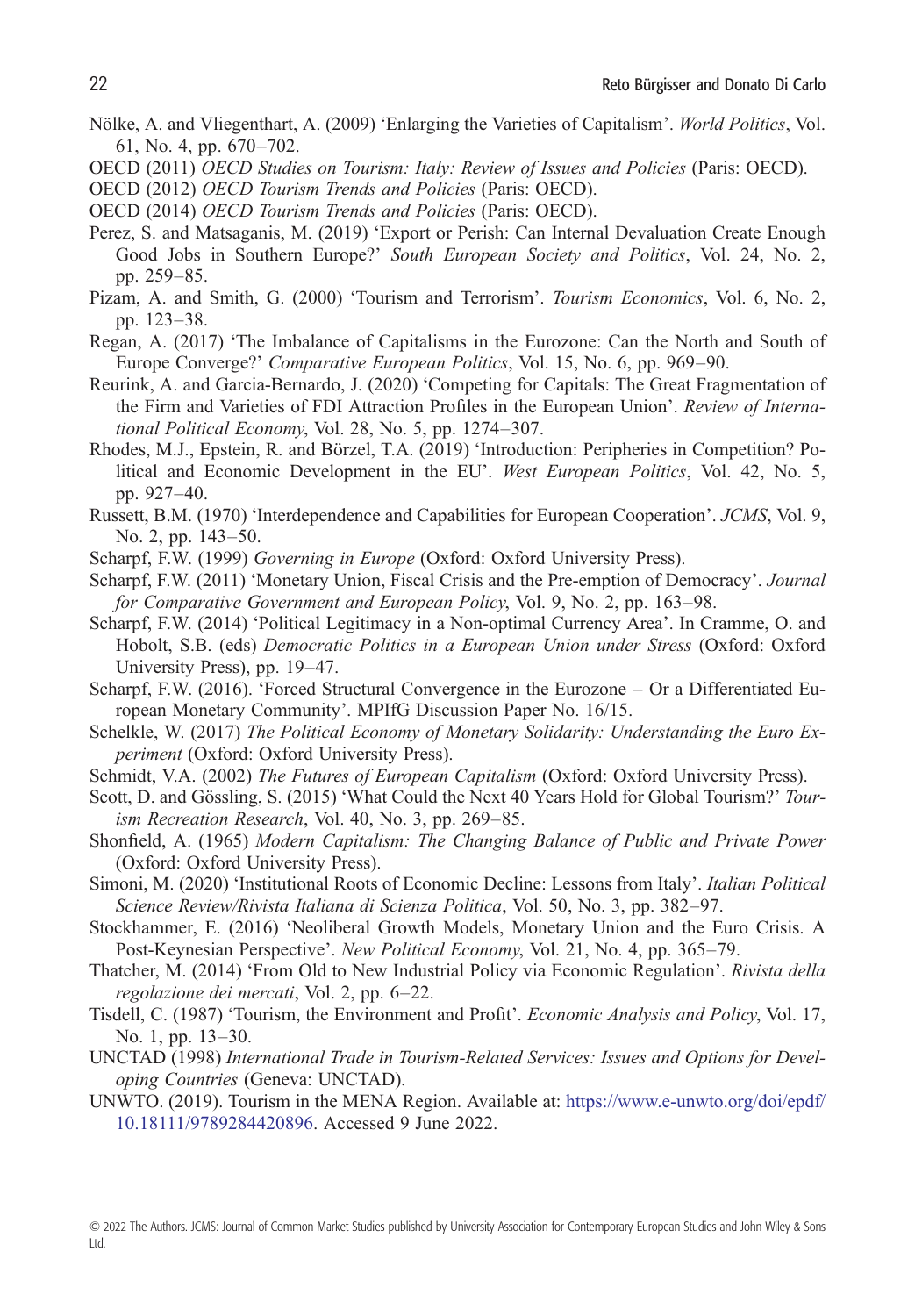- <span id="page-21-0"></span>Nölke, A. and Vliegenthart, A. (2009) 'Enlarging the Varieties of Capitalism'. *World Politics*, Vol. 61, No. 4, pp. 670–702.
- OECD (2011) *OECD Studies on Tourism: Italy: Review of Issues and Policies* (Paris: OECD).
- OECD (2012) *OECD Tourism Trends and Policies* (Paris: OECD).
- OECD (2014) *OECD Tourism Trends and Policies* (Paris: OECD).
- Perez, S. and Matsaganis, M. (2019) 'Export or Perish: Can Internal Devaluation Create Enough Good Jobs in Southern Europe?' *South European Society and Politics*, Vol. 24, No. 2, pp. 259–85.
- Pizam, A. and Smith, G. (2000) 'Tourism and Terrorism'. *Tourism Economics*, Vol. 6, No. 2, pp. 123–38.
- Regan, A. (2017) 'The Imbalance of Capitalisms in the Eurozone: Can the North and South of Europe Converge?' *Comparative European Politics*, Vol. 15, No. 6, pp. 969–90.
- Reurink, A. and Garcia-Bernardo, J. (2020) 'Competing for Capitals: The Great Fragmentation of the Firm and Varieties of FDI Attraction Profiles in the European Union'. *Review of International Political Economy*, Vol. 28, No. 5, pp. 1274–307.
- Rhodes, M.J., Epstein, R. and Börzel, T.A. (2019) 'Introduction: Peripheries in Competition? Political and Economic Development in the EU'. *West European Politics*, Vol. 42, No. 5, pp. 927–40.
- Russett, B.M. (1970) 'Interdependence and Capabilities for European Cooperation'. *JCMS*, Vol. 9, No. 2, pp. 143–50.
- Scharpf, F.W. (1999) *Governing in Europe* (Oxford: Oxford University Press).
- Scharpf, F.W. (2011) 'Monetary Union, Fiscal Crisis and the Pre-emption of Democracy'. *Journal for Comparative Government and European Policy*, Vol. 9, No. 2, pp. 163–98.
- Scharpf, F.W. (2014) 'Political Legitimacy in a Non-optimal Currency Area'. In Cramme, O. and Hobolt, S.B. (eds) *Democratic Politics in a European Union under Stress* (Oxford: Oxford University Press), pp. 19–47.
- Scharpf, F.W. (2016). 'Forced Structural Convergence in the Eurozone Or a Differentiated European Monetary Community'. MPIfG Discussion Paper No. 16/15.
- Schelkle, W. (2017) *The Political Economy of Monetary Solidarity: Understanding the Euro Experiment* (Oxford: Oxford University Press).
- Schmidt, V.A. (2002) *The Futures of European Capitalism* (Oxford: Oxford University Press).
- Scott, D. and Gössling, S. (2015) 'What Could the Next 40 Years Hold for Global Tourism?' *Tourism Recreation Research*, Vol. 40, No. 3, pp. 269–85.
- Shonfield, A. (1965) *Modern Capitalism: The Changing Balance of Public and Private Power* (Oxford: Oxford University Press).
- Simoni, M. (2020) 'Institutional Roots of Economic Decline: Lessons from Italy'. *Italian Political Science Review/Rivista Italiana di Scienza Politica*, Vol. 50, No. 3, pp. 382–97.
- Stockhammer, E. (2016) 'Neoliberal Growth Models, Monetary Union and the Euro Crisis. A Post-Keynesian Perspective'. *New Political Economy*, Vol. 21, No. 4, pp. 365–79.
- Thatcher, M. (2014) 'From Old to New Industrial Policy via Economic Regulation'. *Rivista della regolazione dei mercati*, Vol. 2, pp. 6–22.
- Tisdell, C. (1987) 'Tourism, the Environment and Profit'. *Economic Analysis and Policy*, Vol. 17, No. 1, pp. 13–30.
- UNCTAD (1998) *International Trade in Tourism-Related Services: Issues and Options for Developing Countries* (Geneva: UNCTAD).
- UNWTO. (2019). Tourism in the MENA Region. Available at: [https://www.e-unwto.org/doi/epdf/](https://www.e-unwto.org/doi/epdf/10.18111/9789284420896) [10.18111/9789284420896.](https://www.e-unwto.org/doi/epdf/10.18111/9789284420896) Accessed 9 June 2022.